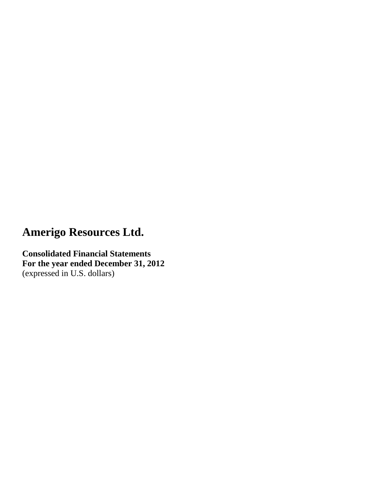**Consolidated Financial Statements For the year ended December 31, 2012** (expressed in U.S. dollars)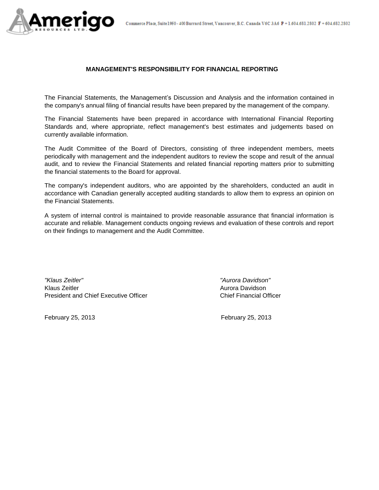

#### **MANAGEMENT'S RESPONSIBILITY FOR FINANCIAL REPORTING**

The Financial Statements, the Management's Discussion and Analysis and the information contained in the company's annual filing of financial results have been prepared by the management of the company.

The Financial Statements have been prepared in accordance with International Financial Reporting Standards and, where appropriate, reflect management's best estimates and judgements based on currently available information.

The Audit Committee of the Board of Directors, consisting of three independent members, meets periodically with management and the independent auditors to review the scope and result of the annual audit, and to review the Financial Statements and related financial reporting matters prior to submitting the financial statements to the Board for approval.

The company's independent auditors, who are appointed by the shareholders, conducted an audit in accordance with Canadian generally accepted auditing standards to allow them to express an opinion on the Financial Statements.

A system of internal control is maintained to provide reasonable assurance that financial information is accurate and reliable. Management conducts ongoing reviews and evaluation of these controls and report on their findings to management and the Audit Committee.

*"Klaus Zeitler" "Aurora Davidson"* Klaus Zeitler **Aurora Davidson** Aurora Davidson President and Chief Executive Officer Chief Financial Officer

February 25, 2013 February 25, 2013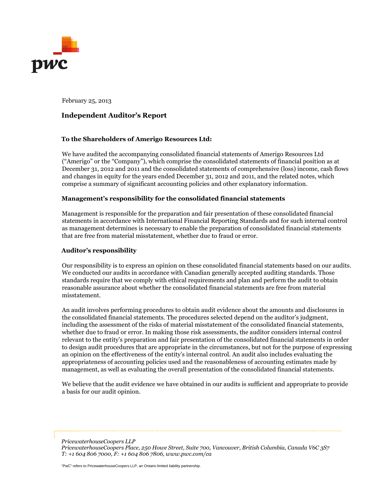

February 25, 2013

## **Independent Auditor's Report**

#### **To the Shareholders of Amerigo Resources Ltd:**

We have audited the accompanying consolidated financial statements of Amerigo Resources Ltd ("Amerigo" or the "Company"), which comprise the consolidated statements of financial position as at December 31, 2012 and 2011 and the consolidated statements of comprehensive (loss) income, cash flows and changes in equity for the years ended December 31, 2012 and 2011, and the related notes, which comprise a summary of significant accounting policies and other explanatory information.

#### **Management's responsibility for the consolidated financial statements**

Management is responsible for the preparation and fair presentation of these consolidated financial statements in accordance with International Financial Reporting Standards and for such internal control as management determines is necessary to enable the preparation of consolidated financial statements that are free from material misstatement, whether due to fraud or error.

#### **Auditor's responsibility**

Our responsibility is to express an opinion on these consolidated financial statements based on our audits. We conducted our audits in accordance with Canadian generally accepted auditing standards. Those standards require that we comply with ethical requirements and plan and perform the audit to obtain reasonable assurance about whether the consolidated financial statements are free from material misstatement.

An audit involves performing procedures to obtain audit evidence about the amounts and disclosures in the consolidated financial statements. The procedures selected depend on the auditor's judgment, including the assessment of the risks of material misstatement of the consolidated financial statements, whether due to fraud or error. In making those risk assessments, the auditor considers internal control relevant to the entity's preparation and fair presentation of the consolidated financial statements in order to design audit procedures that are appropriate in the circumstances, but not for the purpose of expressing an opinion on the effectiveness of the entity's internal control. An audit also includes evaluating the appropriateness of accounting policies used and the reasonableness of accounting estimates made by management, as well as evaluating the overall presentation of the consolidated financial statements.

We believe that the audit evidence we have obtained in our audits is sufficient and appropriate to provide a basis for our audit opinion.

*PricewaterhouseCoopers LLP*

*PricewaterhouseCoopers Place, 250 Howe Street, Suite 700, Vancouver, British Columbia, Canada V6C 3S7 T: +1 604 806 7000, F: +1 604 806 7806, www.pwc.com/ca*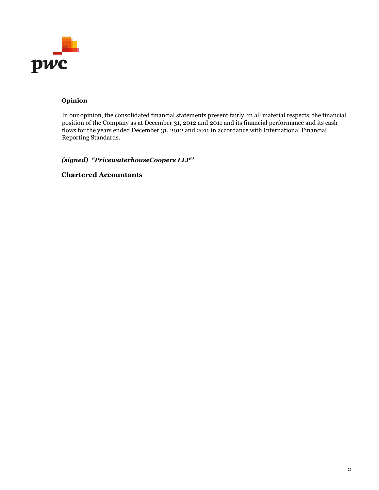

## **Opinion**

In our opinion, the consolidated financial statements present fairly, in all material respects, the financial position of the Company as at December 31, 2012 and 2011 and its financial performance and its cash flows for the years ended December 31, 2012 and 2011 in accordance with International Financial Reporting Standards.

*(signed) "PricewaterhouseCoopers LLP"*

## **Chartered Accountants**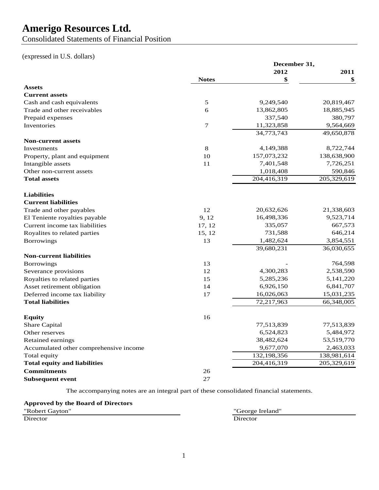Consolidated Statements of Financial Position

## (expressed in U.S. dollars)

|                                        | December 31, |             |             |
|----------------------------------------|--------------|-------------|-------------|
|                                        |              | 2012        | 2011        |
|                                        | <b>Notes</b> | \$          | \$          |
| <b>Assets</b>                          |              |             |             |
| <b>Current assets</b>                  |              |             |             |
| Cash and cash equivalents              | 5            | 9,249,540   | 20,819,467  |
| Trade and other receivables            | 6            | 13,862,805  | 18,885,945  |
| Prepaid expenses                       |              | 337,540     | 380,797     |
| Inventories                            | 7            | 11,323,858  | 9,564,669   |
|                                        |              | 34,773,743  | 49,650,878  |
| <b>Non-current assets</b>              |              |             |             |
| Investments                            | 8            | 4,149,388   | 8,722,744   |
| Property, plant and equipment          | 10           | 157,073,232 | 138,638,900 |
| Intangible assets                      | 11           | 7,401,548   | 7,726,251   |
| Other non-current assets               |              | 1,018,408   | 590,846     |
| <b>Total assets</b>                    |              | 204,416,319 | 205,329,619 |
|                                        |              |             |             |
| <b>Liabilities</b>                     |              |             |             |
| <b>Current liabilities</b>             |              |             |             |
| Trade and other payables               | 12           | 20,632,626  | 21,338,603  |
| El Teniente royalties payable          | 9, 12        | 16,498,336  | 9,523,714   |
| Current income tax liabilities         | 17, 12       | 335,057     | 667,573     |
| Royalites to related parties           | 15, 12       | 731,588     | 646,214     |
| <b>Borrowings</b>                      | 13           | 1,482,624   | 3,854,551   |
|                                        |              | 39,680,231  | 36,030,655  |
| <b>Non-current liabilities</b>         |              |             |             |
| <b>Borrowings</b>                      | 13           |             | 764,598     |
| Severance provisions                   | 12           | 4,300,283   | 2,538,590   |
| Royalties to related parties           | 15           | 5,285,236   | 5,141,220   |
| Asset retirement obligation            | 14           | 6,926,150   | 6,841,707   |
| Deferred income tax liability          | 17           | 16,026,063  | 15,031,235  |
| <b>Total liabilities</b>               |              | 72,217,963  | 66,348,005  |
|                                        |              |             |             |
| <b>Equity</b>                          | 16           |             |             |
| Share Capital                          |              | 77,513,839  | 77,513,839  |
| Other reserves                         |              | 6,524,823   | 5,484,972   |
| Retained earnings                      |              | 38,482,624  | 53,519,770  |
| Accumulated other comprehensive income |              | 9,677,070   | 2,463,033   |
| Total equity                           |              | 132,198,356 | 138,981,614 |
| <b>Total equity and liabilities</b>    |              | 204,416,319 | 205,329,619 |
| <b>Commitments</b>                     | 26           |             |             |
|                                        | 27           |             |             |
| Subsequent event                       |              |             |             |

| Approved by the Board of Directors |          |
|------------------------------------|----------|
| "Robert Gayton"                    | "George  |
| Director                           | Director |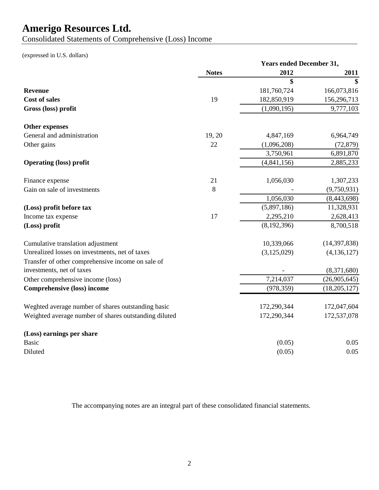Consolidated Statements of Comprehensive (Loss) Income

(expressed in U.S. dollars)

|                                                       |              | <b>Years ended December 31,</b> |                |  |
|-------------------------------------------------------|--------------|---------------------------------|----------------|--|
|                                                       | <b>Notes</b> | 2012                            | 2011           |  |
|                                                       |              | \$                              |                |  |
| <b>Revenue</b>                                        |              | 181,760,724                     | 166,073,816    |  |
| <b>Cost of sales</b>                                  | 19           | 182,850,919                     | 156,296,713    |  |
| Gross (loss) profit                                   |              | (1,090,195)                     | 9,777,103      |  |
| Other expenses                                        |              |                                 |                |  |
| General and administration                            | 19, 20       | 4,847,169                       | 6,964,749      |  |
| Other gains                                           | 22           | (1,096,208)                     | (72, 879)      |  |
|                                                       |              | 3,750,961                       | 6,891,870      |  |
| <b>Operating (loss) profit</b>                        |              | (4,841,156)                     | 2,885,233      |  |
| Finance expense                                       | 21           | 1,056,030                       | 1,307,233      |  |
| Gain on sale of investments                           | 8            |                                 | (9,750,931)    |  |
|                                                       |              | 1,056,030                       | (8,443,698)    |  |
| (Loss) profit before tax                              |              | (5,897,186)                     | 11,328,931     |  |
| Income tax expense                                    | 17           | 2,295,210                       | 2,628,413      |  |
| (Loss) profit                                         |              | (8, 192, 396)                   | 8,700,518      |  |
| Cumulative translation adjustment                     |              | 10,339,066                      | (14, 397, 838) |  |
| Unrealized losses on investments, net of taxes        |              | (3, 125, 029)                   | (4, 136, 127)  |  |
| Transfer of other comprehensive income on sale of     |              |                                 |                |  |
| investments, net of taxes                             |              |                                 | (8,371,680)    |  |
| Other comprehensive income (loss)                     |              | 7,214,037                       | (26,905,645)   |  |
| <b>Comprehensive (loss) income</b>                    |              | (978, 359)                      | (18, 205, 127) |  |
| Weghted average number of shares outstanding basic    |              | 172,290,344                     | 172,047,604    |  |
| Weighted average number of shares outstanding diluted |              | 172,290,344                     | 172,537,078    |  |
| (Loss) earnings per share                             |              |                                 |                |  |
| <b>Basic</b>                                          |              | (0.05)                          | 0.05           |  |
| Diluted                                               |              | (0.05)                          | 0.05           |  |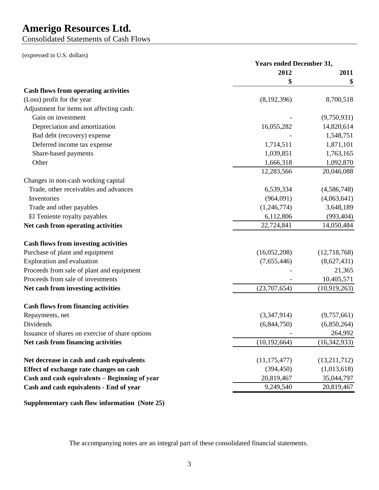Consolidated Statements of Cash Flows

(expressed in U.S. dollars)

| 2012<br>2011<br>\$<br>\$<br><b>Cash flows from operating activities</b><br>8,700,518<br>(Loss) profit for the year<br>(8,192,396)<br>Adjustment for items not affecting cash:<br>Gain on investment<br>(9,750,931)<br>Depreciation and amortization<br>16,055,282<br>14,820,614<br>Bad debt (recovery) expense<br>1,548,751<br>Deferred income tax expense<br>1,714,511<br>1,871,101<br>Share-based payments<br>1,039,851<br>1,763,165<br>Other<br>1,666,318<br>1,092,870<br>12,283,566<br>20,046,088<br>Changes in non-cash working capital<br>Trade, other receivables and advances<br>6,539,334<br>(4,586,748)<br>Inventories<br>(964,091)<br>(4,063,641)<br>(1,246,774)<br>3,648,189<br>Trade and other payables<br>El Teniente royalty payables<br>6,112,806<br>(993, 404)<br>Net cash from operating activities<br>22,724,841<br>14,050,484<br><b>Cash flows from investing activities</b><br>Purchase of plant and equipment<br>(16,052,208)<br>(12,718,768)<br>Exploration and evaluation<br>(7,655,446)<br>(8,627,431)<br>Proceeds from sale of plant and equipment<br>21,365<br>Proceeds from sale of investments<br>10,405,571<br>(23,707,654)<br>Net cash from investing activities<br>(10,919,263)<br><b>Cash flows from financing activities</b><br>(3,347,914)<br>(9,757,661)<br>Repayments, net<br>Dividends<br>(6,844,750)<br>(6,850,264)<br>Issuance of shares on exercise of share options<br>264,992<br>(16, 342, 933)<br>Net cash from financing activities<br>(10, 192, 664)<br>Net decrease in cash and cash equivalents<br>(11, 175, 477)<br>(13,211,712)<br>Effect of exchange rate changes on cash<br>(394, 450)<br>(1,013,618)<br>20,819,467<br>Cash and cash equivalents - Beginning of year<br>35,044,797<br>Cash and cash equivalents - End of year<br>9,249,540<br>20,819,467 | <b>Years ended December 31,</b> |  |
|--------------------------------------------------------------------------------------------------------------------------------------------------------------------------------------------------------------------------------------------------------------------------------------------------------------------------------------------------------------------------------------------------------------------------------------------------------------------------------------------------------------------------------------------------------------------------------------------------------------------------------------------------------------------------------------------------------------------------------------------------------------------------------------------------------------------------------------------------------------------------------------------------------------------------------------------------------------------------------------------------------------------------------------------------------------------------------------------------------------------------------------------------------------------------------------------------------------------------------------------------------------------------------------------------------------------------------------------------------------------------------------------------------------------------------------------------------------------------------------------------------------------------------------------------------------------------------------------------------------------------------------------------------------------------------------------------------------------------------------------------------------------------------------------------------------|---------------------------------|--|
|                                                                                                                                                                                                                                                                                                                                                                                                                                                                                                                                                                                                                                                                                                                                                                                                                                                                                                                                                                                                                                                                                                                                                                                                                                                                                                                                                                                                                                                                                                                                                                                                                                                                                                                                                                                                              |                                 |  |
|                                                                                                                                                                                                                                                                                                                                                                                                                                                                                                                                                                                                                                                                                                                                                                                                                                                                                                                                                                                                                                                                                                                                                                                                                                                                                                                                                                                                                                                                                                                                                                                                                                                                                                                                                                                                              |                                 |  |
|                                                                                                                                                                                                                                                                                                                                                                                                                                                                                                                                                                                                                                                                                                                                                                                                                                                                                                                                                                                                                                                                                                                                                                                                                                                                                                                                                                                                                                                                                                                                                                                                                                                                                                                                                                                                              |                                 |  |
|                                                                                                                                                                                                                                                                                                                                                                                                                                                                                                                                                                                                                                                                                                                                                                                                                                                                                                                                                                                                                                                                                                                                                                                                                                                                                                                                                                                                                                                                                                                                                                                                                                                                                                                                                                                                              |                                 |  |
|                                                                                                                                                                                                                                                                                                                                                                                                                                                                                                                                                                                                                                                                                                                                                                                                                                                                                                                                                                                                                                                                                                                                                                                                                                                                                                                                                                                                                                                                                                                                                                                                                                                                                                                                                                                                              |                                 |  |
|                                                                                                                                                                                                                                                                                                                                                                                                                                                                                                                                                                                                                                                                                                                                                                                                                                                                                                                                                                                                                                                                                                                                                                                                                                                                                                                                                                                                                                                                                                                                                                                                                                                                                                                                                                                                              |                                 |  |
|                                                                                                                                                                                                                                                                                                                                                                                                                                                                                                                                                                                                                                                                                                                                                                                                                                                                                                                                                                                                                                                                                                                                                                                                                                                                                                                                                                                                                                                                                                                                                                                                                                                                                                                                                                                                              |                                 |  |
|                                                                                                                                                                                                                                                                                                                                                                                                                                                                                                                                                                                                                                                                                                                                                                                                                                                                                                                                                                                                                                                                                                                                                                                                                                                                                                                                                                                                                                                                                                                                                                                                                                                                                                                                                                                                              |                                 |  |
|                                                                                                                                                                                                                                                                                                                                                                                                                                                                                                                                                                                                                                                                                                                                                                                                                                                                                                                                                                                                                                                                                                                                                                                                                                                                                                                                                                                                                                                                                                                                                                                                                                                                                                                                                                                                              |                                 |  |
|                                                                                                                                                                                                                                                                                                                                                                                                                                                                                                                                                                                                                                                                                                                                                                                                                                                                                                                                                                                                                                                                                                                                                                                                                                                                                                                                                                                                                                                                                                                                                                                                                                                                                                                                                                                                              |                                 |  |
|                                                                                                                                                                                                                                                                                                                                                                                                                                                                                                                                                                                                                                                                                                                                                                                                                                                                                                                                                                                                                                                                                                                                                                                                                                                                                                                                                                                                                                                                                                                                                                                                                                                                                                                                                                                                              |                                 |  |
|                                                                                                                                                                                                                                                                                                                                                                                                                                                                                                                                                                                                                                                                                                                                                                                                                                                                                                                                                                                                                                                                                                                                                                                                                                                                                                                                                                                                                                                                                                                                                                                                                                                                                                                                                                                                              |                                 |  |
|                                                                                                                                                                                                                                                                                                                                                                                                                                                                                                                                                                                                                                                                                                                                                                                                                                                                                                                                                                                                                                                                                                                                                                                                                                                                                                                                                                                                                                                                                                                                                                                                                                                                                                                                                                                                              |                                 |  |
|                                                                                                                                                                                                                                                                                                                                                                                                                                                                                                                                                                                                                                                                                                                                                                                                                                                                                                                                                                                                                                                                                                                                                                                                                                                                                                                                                                                                                                                                                                                                                                                                                                                                                                                                                                                                              |                                 |  |
|                                                                                                                                                                                                                                                                                                                                                                                                                                                                                                                                                                                                                                                                                                                                                                                                                                                                                                                                                                                                                                                                                                                                                                                                                                                                                                                                                                                                                                                                                                                                                                                                                                                                                                                                                                                                              |                                 |  |
|                                                                                                                                                                                                                                                                                                                                                                                                                                                                                                                                                                                                                                                                                                                                                                                                                                                                                                                                                                                                                                                                                                                                                                                                                                                                                                                                                                                                                                                                                                                                                                                                                                                                                                                                                                                                              |                                 |  |
|                                                                                                                                                                                                                                                                                                                                                                                                                                                                                                                                                                                                                                                                                                                                                                                                                                                                                                                                                                                                                                                                                                                                                                                                                                                                                                                                                                                                                                                                                                                                                                                                                                                                                                                                                                                                              |                                 |  |
|                                                                                                                                                                                                                                                                                                                                                                                                                                                                                                                                                                                                                                                                                                                                                                                                                                                                                                                                                                                                                                                                                                                                                                                                                                                                                                                                                                                                                                                                                                                                                                                                                                                                                                                                                                                                              |                                 |  |
|                                                                                                                                                                                                                                                                                                                                                                                                                                                                                                                                                                                                                                                                                                                                                                                                                                                                                                                                                                                                                                                                                                                                                                                                                                                                                                                                                                                                                                                                                                                                                                                                                                                                                                                                                                                                              |                                 |  |
|                                                                                                                                                                                                                                                                                                                                                                                                                                                                                                                                                                                                                                                                                                                                                                                                                                                                                                                                                                                                                                                                                                                                                                                                                                                                                                                                                                                                                                                                                                                                                                                                                                                                                                                                                                                                              |                                 |  |
|                                                                                                                                                                                                                                                                                                                                                                                                                                                                                                                                                                                                                                                                                                                                                                                                                                                                                                                                                                                                                                                                                                                                                                                                                                                                                                                                                                                                                                                                                                                                                                                                                                                                                                                                                                                                              |                                 |  |
|                                                                                                                                                                                                                                                                                                                                                                                                                                                                                                                                                                                                                                                                                                                                                                                                                                                                                                                                                                                                                                                                                                                                                                                                                                                                                                                                                                                                                                                                                                                                                                                                                                                                                                                                                                                                              |                                 |  |
|                                                                                                                                                                                                                                                                                                                                                                                                                                                                                                                                                                                                                                                                                                                                                                                                                                                                                                                                                                                                                                                                                                                                                                                                                                                                                                                                                                                                                                                                                                                                                                                                                                                                                                                                                                                                              |                                 |  |
|                                                                                                                                                                                                                                                                                                                                                                                                                                                                                                                                                                                                                                                                                                                                                                                                                                                                                                                                                                                                                                                                                                                                                                                                                                                                                                                                                                                                                                                                                                                                                                                                                                                                                                                                                                                                              |                                 |  |
|                                                                                                                                                                                                                                                                                                                                                                                                                                                                                                                                                                                                                                                                                                                                                                                                                                                                                                                                                                                                                                                                                                                                                                                                                                                                                                                                                                                                                                                                                                                                                                                                                                                                                                                                                                                                              |                                 |  |
|                                                                                                                                                                                                                                                                                                                                                                                                                                                                                                                                                                                                                                                                                                                                                                                                                                                                                                                                                                                                                                                                                                                                                                                                                                                                                                                                                                                                                                                                                                                                                                                                                                                                                                                                                                                                              |                                 |  |
|                                                                                                                                                                                                                                                                                                                                                                                                                                                                                                                                                                                                                                                                                                                                                                                                                                                                                                                                                                                                                                                                                                                                                                                                                                                                                                                                                                                                                                                                                                                                                                                                                                                                                                                                                                                                              |                                 |  |
|                                                                                                                                                                                                                                                                                                                                                                                                                                                                                                                                                                                                                                                                                                                                                                                                                                                                                                                                                                                                                                                                                                                                                                                                                                                                                                                                                                                                                                                                                                                                                                                                                                                                                                                                                                                                              |                                 |  |
|                                                                                                                                                                                                                                                                                                                                                                                                                                                                                                                                                                                                                                                                                                                                                                                                                                                                                                                                                                                                                                                                                                                                                                                                                                                                                                                                                                                                                                                                                                                                                                                                                                                                                                                                                                                                              |                                 |  |
|                                                                                                                                                                                                                                                                                                                                                                                                                                                                                                                                                                                                                                                                                                                                                                                                                                                                                                                                                                                                                                                                                                                                                                                                                                                                                                                                                                                                                                                                                                                                                                                                                                                                                                                                                                                                              |                                 |  |
|                                                                                                                                                                                                                                                                                                                                                                                                                                                                                                                                                                                                                                                                                                                                                                                                                                                                                                                                                                                                                                                                                                                                                                                                                                                                                                                                                                                                                                                                                                                                                                                                                                                                                                                                                                                                              |                                 |  |
|                                                                                                                                                                                                                                                                                                                                                                                                                                                                                                                                                                                                                                                                                                                                                                                                                                                                                                                                                                                                                                                                                                                                                                                                                                                                                                                                                                                                                                                                                                                                                                                                                                                                                                                                                                                                              |                                 |  |
|                                                                                                                                                                                                                                                                                                                                                                                                                                                                                                                                                                                                                                                                                                                                                                                                                                                                                                                                                                                                                                                                                                                                                                                                                                                                                                                                                                                                                                                                                                                                                                                                                                                                                                                                                                                                              |                                 |  |

**Supplementary cash flow information (Note 25)**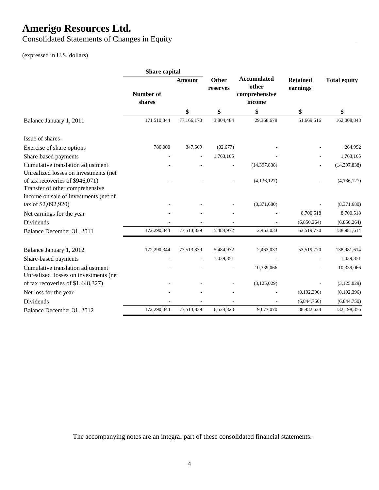Consolidated Statements of Changes in Equity

## (expressed in U.S. dollars)

|                                                                                                             | Share capital       |               |                          |                                                        |                             |                     |
|-------------------------------------------------------------------------------------------------------------|---------------------|---------------|--------------------------|--------------------------------------------------------|-----------------------------|---------------------|
|                                                                                                             | Number of<br>shares | <b>Amount</b> | <b>Other</b><br>reserves | <b>Accumulated</b><br>other<br>comprehensive<br>income | <b>Retained</b><br>earnings | <b>Total equity</b> |
|                                                                                                             |                     | \$            | \$                       | \$                                                     | \$                          | \$                  |
| Balance January 1, 2011                                                                                     | 171,510,344         | 77,166,170    | 3,804,484                | 29,368,678                                             | 51,669,516                  | 162,008,848         |
| Issue of shares-                                                                                            |                     |               |                          |                                                        |                             |                     |
| Exercise of share options                                                                                   | 780,000             | 347,669       | (82, 677)                |                                                        |                             | 264,992             |
| Share-based payments                                                                                        |                     |               | 1,763,165                |                                                        |                             | 1,763,165           |
| Cumulative translation adjustment<br>Unrealized losses on investments (net                                  |                     |               |                          | (14, 397, 838)                                         |                             | (14, 397, 838)      |
| of tax recoveries of \$946,071)<br>Transfer of other comprehensive<br>income on sale of investments (net of |                     |               |                          | (4, 136, 127)                                          |                             | (4, 136, 127)       |
| tax of \$2,092,920)                                                                                         |                     |               |                          | (8,371,680)                                            |                             | (8,371,680)         |
| Net earnings for the year                                                                                   |                     |               |                          |                                                        | 8,700,518                   | 8,700,518           |
| Dividends                                                                                                   |                     |               |                          |                                                        | (6,850,264)                 | (6,850,264)         |
| Balance December 31, 2011                                                                                   | 172,290,344         | 77,513,839    | 5,484,972                | 2,463,033                                              | 53,519,770                  | 138,981,614         |
| Balance January 1, 2012                                                                                     | 172,290,344         | 77,513,839    | 5,484,972                | 2,463,033                                              | 53,519,770                  | 138,981,614         |
| Share-based payments                                                                                        |                     |               | 1,039,851                |                                                        |                             | 1,039,851           |
| Cumulative translation adjustment<br>Unrealized losses on investments (net                                  |                     |               |                          | 10,339,066                                             |                             | 10,339,066          |
| of tax recoveries of \$1,448,327)                                                                           |                     |               |                          | (3,125,029)                                            |                             | (3,125,029)         |
| Net loss for the year                                                                                       |                     |               |                          |                                                        | (8,192,396)                 | (8,192,396)         |
| <b>Dividends</b>                                                                                            |                     |               |                          |                                                        | (6,844,750)                 | (6,844,750)         |
| Balance December 31, 2012                                                                                   | 172,290,344         | 77,513,839    | 6,524,823                | 9,677,070                                              | 38,482,624                  | 132,198,356         |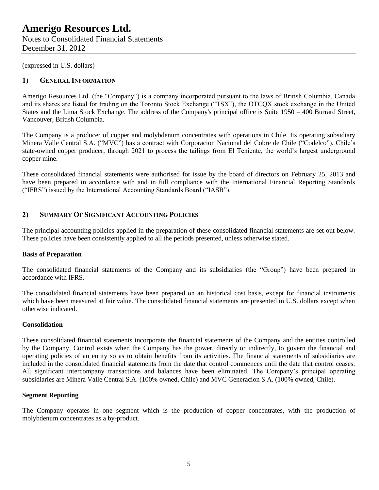Notes to Consolidated Financial Statements December 31, 2012

(expressed in U.S. dollars)

## **1) GENERAL INFORMATION**

Amerigo Resources Ltd. (the "Company") is a company incorporated pursuant to the laws of British Columbia, Canada and its shares are listed for trading on the Toronto Stock Exchange ("TSX"), the OTCQX stock exchange in the United States and the Lima Stock Exchange. The address of the Company's principal office is Suite 1950 – 400 Burrard Street, Vancouver, British Columbia.

The Company is a producer of copper and molybdenum concentrates with operations in Chile. Its operating subsidiary Minera Valle Central S.A. ("MVC") has a contract with Corporacion Nacional del Cobre de Chile ("Codelco"), Chile's state-owned copper producer, through 2021 to process the tailings from El Teniente, the world's largest underground copper mine.

These consolidated financial statements were authorised for issue by the board of directors on February 25, 2013 and have been prepared in accordance with and in full compliance with the International Financial Reporting Standards ("IFRS") issued by the International Accounting Standards Board ("IASB").

### **2) SUMMARY OF SIGNIFICANT ACCOUNTING POLICIES**

The principal accounting policies applied in the preparation of these consolidated financial statements are set out below. These policies have been consistently applied to all the periods presented, unless otherwise stated.

### **Basis of Preparation**

The consolidated financial statements of the Company and its subsidiaries (the "Group") have been prepared in accordance with IFRS.

The consolidated financial statements have been prepared on an historical cost basis, except for financial instruments which have been measured at fair value. The consolidated financial statements are presented in U.S. dollars except when otherwise indicated.

### **Consolidation**

These consolidated financial statements incorporate the financial statements of the Company and the entities controlled by the Company. Control exists when the Company has the power, directly or indirectly, to govern the financial and operating policies of an entity so as to obtain benefits from its activities. The financial statements of subsidiaries are included in the consolidated financial statements from the date that control commences until the date that control ceases. All significant intercompany transactions and balances have been eliminated. The Company's principal operating subsidiaries are Minera Valle Central S.A. (100% owned, Chile) and MVC Generacion S.A. (100% owned, Chile).

### **Segment Reporting**

The Company operates in one segment which is the production of copper concentrates, with the production of molybdenum concentrates as a by-product.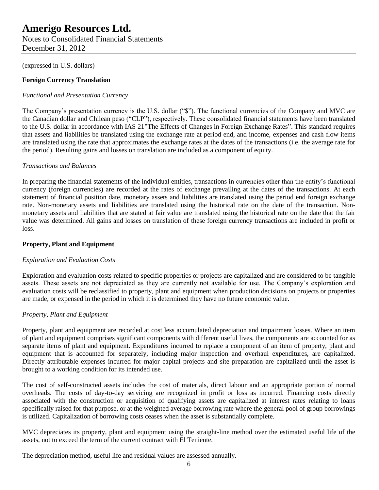Notes to Consolidated Financial Statements December 31, 2012

(expressed in U.S. dollars)

## **Foreign Currency Translation**

## *Functional and Presentation Currency*

The Company's presentation currency is the U.S. dollar ("\$"). The functional currencies of the Company and MVC are the Canadian dollar and Chilean peso ("CLP"), respectively. These consolidated financial statements have been translated to the U.S. dollar in accordance with IAS 21"The Effects of Changes in Foreign Exchange Rates". This standard requires that assets and liabilities be translated using the exchange rate at period end, and income, expenses and cash flow items are translated using the rate that approximates the exchange rates at the dates of the transactions (i.e. the average rate for the period). Resulting gains and losses on translation are included as a component of equity.

### *Transactions and Balances*

In preparing the financial statements of the individual entities, transactions in currencies other than the entity's functional currency (foreign currencies) are recorded at the rates of exchange prevailing at the dates of the transactions. At each statement of financial position date, monetary assets and liabilities are translated using the period end foreign exchange rate. Non-monetary assets and liabilities are translated using the historical rate on the date of the transaction. Nonmonetary assets and liabilities that are stated at fair value are translated using the historical rate on the date that the fair value was determined. All gains and losses on translation of these foreign currency transactions are included in profit or loss.

## **Property, Plant and Equipment**

## *Exploration and Evaluation Costs*

Exploration and evaluation costs related to specific properties or projects are capitalized and are considered to be tangible assets. These assets are not depreciated as they are currently not available for use. The Company's exploration and evaluation costs will be reclassified to property, plant and equipment when production decisions on projects or properties are made, or expensed in the period in which it is determined they have no future economic value.

## *Property, Plant and Equipment*

Property, plant and equipment are recorded at cost less accumulated depreciation and impairment losses. Where an item of plant and equipment comprises significant components with different useful lives, the components are accounted for as separate items of plant and equipment. Expenditures incurred to replace a component of an item of property, plant and equipment that is accounted for separately, including major inspection and overhaul expenditures, are capitalized. Directly attributable expenses incurred for major capital projects and site preparation are capitalized until the asset is brought to a working condition for its intended use.

The cost of self-constructed assets includes the cost of materials, direct labour and an appropriate portion of normal overheads. The costs of day-to-day servicing are recognized in profit or loss as incurred. Financing costs directly associated with the construction or acquisition of qualifying assets are capitalized at interest rates relating to loans specifically raised for that purpose, or at the weighted average borrowing rate where the general pool of group borrowings is utilized. Capitalization of borrowing costs ceases when the asset is substantially complete.

MVC depreciates its property, plant and equipment using the straight-line method over the estimated useful life of the assets, not to exceed the term of the current contract with El Teniente.

The depreciation method, useful life and residual values are assessed annually.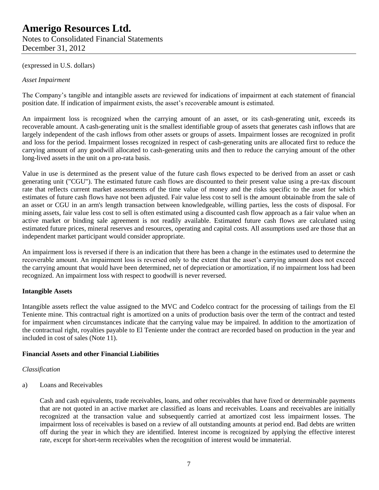Notes to Consolidated Financial Statements December 31, 2012

(expressed in U.S. dollars)

### *Asset Impairment*

The Company's tangible and intangible assets are reviewed for indications of impairment at each statement of financial position date. If indication of impairment exists, the asset's recoverable amount is estimated.

An impairment loss is recognized when the carrying amount of an asset, or its cash-generating unit, exceeds its recoverable amount. A cash-generating unit is the smallest identifiable group of assets that generates cash inflows that are largely independent of the cash inflows from other assets or groups of assets. Impairment losses are recognized in profit and loss for the period. Impairment losses recognized in respect of cash-generating units are allocated first to reduce the carrying amount of any goodwill allocated to cash-generating units and then to reduce the carrying amount of the other long-lived assets in the unit on a pro-rata basis.

Value in use is determined as the present value of the future cash flows expected to be derived from an asset or cash generating unit ("CGU"). The estimated future cash flows are discounted to their present value using a pre-tax discount rate that reflects current market assessments of the time value of money and the risks specific to the asset for which estimates of future cash flows have not been adjusted. Fair value less cost to sell is the amount obtainable from the sale of an asset or CGU in an arm's length transaction between knowledgeable, willing parties, less the costs of disposal. For mining assets, fair value less cost to sell is often estimated using a discounted cash flow approach as a fair value when an active market or binding sale agreement is not readily available. Estimated future cash flows are calculated using estimated future prices, mineral reserves and resources, operating and capital costs. All assumptions used are those that an independent market participant would consider appropriate.

An impairment loss is reversed if there is an indication that there has been a change in the estimates used to determine the recoverable amount. An impairment loss is reversed only to the extent that the asset's carrying amount does not exceed the carrying amount that would have been determined, net of depreciation or amortization, if no impairment loss had been recognized. An impairment loss with respect to goodwill is never reversed.

## **Intangible Assets**

Intangible assets reflect the value assigned to the MVC and Codelco contract for the processing of tailings from the El Teniente mine. This contractual right is amortized on a units of production basis over the term of the contract and tested for impairment when circumstances indicate that the carrying value may be impaired. In addition to the amortization of the contractual right, royalties payable to El Teniente under the contract are recorded based on production in the year and included in cost of sales (Note 11).

## **Financial Assets and other Financial Liabilities**

### *Classification*

a) Loans and Receivables

Cash and cash equivalents, trade receivables, loans, and other receivables that have fixed or determinable payments that are not quoted in an active market are classified as loans and receivables. Loans and receivables are initially recognized at the transaction value and subsequently carried at amortized cost less impairment losses. The impairment loss of receivables is based on a review of all outstanding amounts at period end. Bad debts are written off during the year in which they are identified. Interest income is recognized by applying the effective interest rate, except for short-term receivables when the recognition of interest would be immaterial.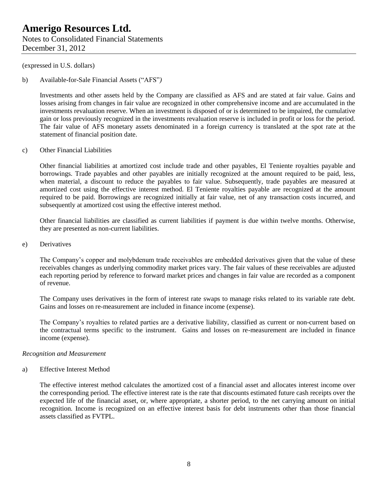Notes to Consolidated Financial Statements December 31, 2012

#### (expressed in U.S. dollars)

b) Available-for-Sale Financial Assets ("AFS"*)*

Investments and other assets held by the Company are classified as AFS and are stated at fair value. Gains and losses arising from changes in fair value are recognized in other comprehensive income and are accumulated in the investments revaluation reserve. When an investment is disposed of or is determined to be impaired, the cumulative gain or loss previously recognized in the investments revaluation reserve is included in profit or loss for the period. The fair value of AFS monetary assets denominated in a foreign currency is translated at the spot rate at the statement of financial position date.

#### c) Other Financial Liabilities

Other financial liabilities at amortized cost include trade and other payables, El Teniente royalties payable and borrowings. Trade payables and other payables are initially recognized at the amount required to be paid, less, when material, a discount to reduce the payables to fair value. Subsequently, trade payables are measured at amortized cost using the effective interest method. El Teniente royalties payable are recognized at the amount required to be paid. Borrowings are recognized initially at fair value, net of any transaction costs incurred, and subsequently at amortized cost using the effective interest method.

Other financial liabilities are classified as current liabilities if payment is due within twelve months. Otherwise, they are presented as non-current liabilities.

#### e) Derivatives

The Company's copper and molybdenum trade receivables are embedded derivatives given that the value of these receivables changes as underlying commodity market prices vary. The fair values of these receivables are adjusted each reporting period by reference to forward market prices and changes in fair value are recorded as a component of revenue.

The Company uses derivatives in the form of interest rate swaps to manage risks related to its variable rate debt. Gains and losses on re-measurement are included in finance income (expense).

The Company's royalties to related parties are a derivative liability, classified as current or non-current based on the contractual terms specific to the instrument. Gains and losses on re-measurement are included in finance income (expense).

### *Recognition and Measurement*

a) Effective Interest Method

The effective interest method calculates the amortized cost of a financial asset and allocates interest income over the corresponding period. The effective interest rate is the rate that discounts estimated future cash receipts over the expected life of the financial asset, or, where appropriate, a shorter period, to the net carrying amount on initial recognition. Income is recognized on an effective interest basis for debt instruments other than those financial assets classified as FVTPL.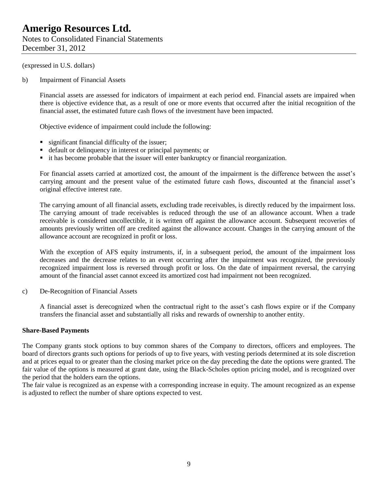Notes to Consolidated Financial Statements December 31, 2012

### (expressed in U.S. dollars)

### b) Impairment of Financial Assets

Financial assets are assessed for indicators of impairment at each period end. Financial assets are impaired when there is objective evidence that, as a result of one or more events that occurred after the initial recognition of the financial asset, the estimated future cash flows of the investment have been impacted.

Objective evidence of impairment could include the following:

- **significant financial difficulty of the issuer;**
- default or delinquency in interest or principal payments; or
- it has become probable that the issuer will enter bankruptcy or financial reorganization.

For financial assets carried at amortized cost, the amount of the impairment is the difference between the asset's carrying amount and the present value of the estimated future cash flows, discounted at the financial asset's original effective interest rate.

The carrying amount of all financial assets, excluding trade receivables, is directly reduced by the impairment loss. The carrying amount of trade receivables is reduced through the use of an allowance account. When a trade receivable is considered uncollectible, it is written off against the allowance account. Subsequent recoveries of amounts previously written off are credited against the allowance account. Changes in the carrying amount of the allowance account are recognized in profit or loss.

With the exception of AFS equity instruments, if, in a subsequent period, the amount of the impairment loss decreases and the decrease relates to an event occurring after the impairment was recognized, the previously recognized impairment loss is reversed through profit or loss. On the date of impairment reversal, the carrying amount of the financial asset cannot exceed its amortized cost had impairment not been recognized.

c) De-Recognition of Financial Assets

A financial asset is derecognized when the contractual right to the asset's cash flows expire or if the Company transfers the financial asset and substantially all risks and rewards of ownership to another entity.

### **Share-Based Payments**

The Company grants stock options to buy common shares of the Company to directors, officers and employees. The board of directors grants such options for periods of up to five years, with vesting periods determined at its sole discretion and at prices equal to or greater than the closing market price on the day preceding the date the options were granted. The fair value of the options is measured at grant date, using the Black-Scholes option pricing model, and is recognized over the period that the holders earn the options.

The fair value is recognized as an expense with a corresponding increase in equity. The amount recognized as an expense is adjusted to reflect the number of share options expected to vest.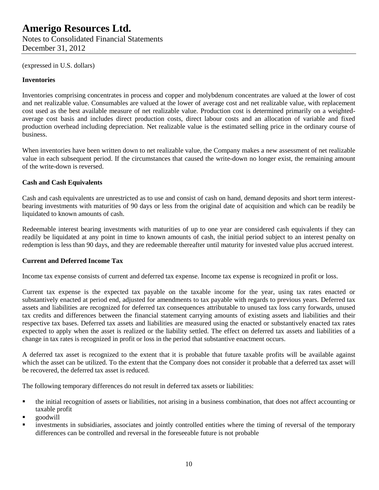Notes to Consolidated Financial Statements December 31, 2012

(expressed in U.S. dollars)

## **Inventories**

Inventories comprising concentrates in process and copper and molybdenum concentrates are valued at the lower of cost and net realizable value. Consumables are valued at the lower of average cost and net realizable value, with replacement cost used as the best available measure of net realizable value. Production cost is determined primarily on a weightedaverage cost basis and includes direct production costs, direct labour costs and an allocation of variable and fixed production overhead including depreciation. Net realizable value is the estimated selling price in the ordinary course of business.

When inventories have been written down to net realizable value, the Company makes a new assessment of net realizable value in each subsequent period. If the circumstances that caused the write-down no longer exist, the remaining amount of the write-down is reversed.

### **Cash and Cash Equivalents**

Cash and cash equivalents are unrestricted as to use and consist of cash on hand, demand deposits and short term interestbearing investments with maturities of 90 days or less from the original date of acquisition and which can be readily be liquidated to known amounts of cash.

Redeemable interest bearing investments with maturities of up to one year are considered cash equivalents if they can readily be liquidated at any point in time to known amounts of cash, the initial period subject to an interest penalty on redemption is less than 90 days, and they are redeemable thereafter until maturity for invested value plus accrued interest.

### **Current and Deferred Income Tax**

Income tax expense consists of current and deferred tax expense. Income tax expense is recognized in profit or loss.

Current tax expense is the expected tax payable on the taxable income for the year, using tax rates enacted or substantively enacted at period end, adjusted for amendments to tax payable with regards to previous years. Deferred tax assets and liabilities are recognized for deferred tax consequences attributable to unused tax loss carry forwards, unused tax credits and differences between the financial statement carrying amounts of existing assets and liabilities and their respective tax bases. Deferred tax assets and liabilities are measured using the enacted or substantively enacted tax rates expected to apply when the asset is realized or the liability settled. The effect on deferred tax assets and liabilities of a change in tax rates is recognized in profit or loss in the period that substantive enactment occurs.

A deferred tax asset is recognized to the extent that it is probable that future taxable profits will be available against which the asset can be utilized. To the extent that the Company does not consider it probable that a deferred tax asset will be recovered, the deferred tax asset is reduced.

The following temporary differences do not result in deferred tax assets or liabilities:

- the initial recognition of assets or liabilities, not arising in a business combination, that does not affect accounting or taxable profit
- goodwill
- investments in subsidiaries, associates and jointly controlled entities where the timing of reversal of the temporary differences can be controlled and reversal in the foreseeable future is not probable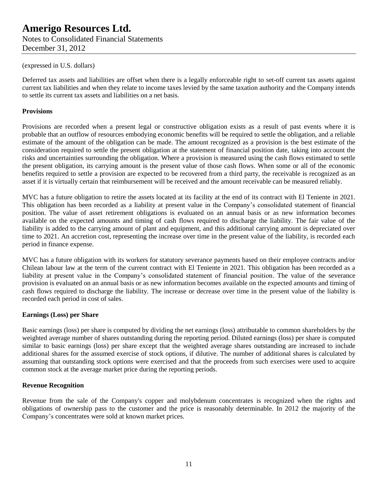Notes to Consolidated Financial Statements December 31, 2012

(expressed in U.S. dollars)

Deferred tax assets and liabilities are offset when there is a legally enforceable right to set-off current tax assets against current tax liabilities and when they relate to income taxes levied by the same taxation authority and the Company intends to settle its current tax assets and liabilities on a net basis.

### **Provisions**

Provisions are recorded when a present legal or constructive obligation exists as a result of past events where it is probable that an outflow of resources embodying economic benefits will be required to settle the obligation, and a reliable estimate of the amount of the obligation can be made. The amount recognized as a provision is the best estimate of the consideration required to settle the present obligation at the statement of financial position date, taking into account the risks and uncertainties surrounding the obligation. Where a provision is measured using the cash flows estimated to settle the present obligation, its carrying amount is the present value of those cash flows. When some or all of the economic benefits required to settle a provision are expected to be recovered from a third party, the receivable is recognized as an asset if it is virtually certain that reimbursement will be received and the amount receivable can be measured reliably.

MVC has a future obligation to retire the assets located at its facility at the end of its contract with El Teniente in 2021. This obligation has been recorded as a liability at present value in the Company's consolidated statement of financial position. The value of asset retirement obligations is evaluated on an annual basis or as new information becomes available on the expected amounts and timing of cash flows required to discharge the liability. The fair value of the liability is added to the carrying amount of plant and equipment, and this additional carrying amount is depreciated over time to 2021. An accretion cost, representing the increase over time in the present value of the liability, is recorded each period in finance expense.

MVC has a future obligation with its workers for statutory severance payments based on their employee contracts and/or Chilean labour law at the term of the current contract with El Teniente in 2021. This obligation has been recorded as a liability at present value in the Company's consolidated statement of financial position. The value of the severance provision is evaluated on an annual basis or as new information becomes available on the expected amounts and timing of cash flows required to discharge the liability. The increase or decrease over time in the present value of the liability is recorded each period in cost of sales.

### **Earnings (Loss) per Share**

Basic earnings (loss) per share is computed by dividing the net earnings (loss) attributable to common shareholders by the weighted average number of shares outstanding during the reporting period. Diluted earnings (loss) per share is computed similar to basic earnings (loss) per share except that the weighted average shares outstanding are increased to include additional shares for the assumed exercise of stock options, if dilutive. The number of additional shares is calculated by assuming that outstanding stock options were exercised and that the proceeds from such exercises were used to acquire common stock at the average market price during the reporting periods.

### **Revenue Recognition**

Revenue from the sale of the Company's copper and molybdenum concentrates is recognized when the rights and obligations of ownership pass to the customer and the price is reasonably determinable. In 2012 the majority of the Company's concentrates were sold at known market prices.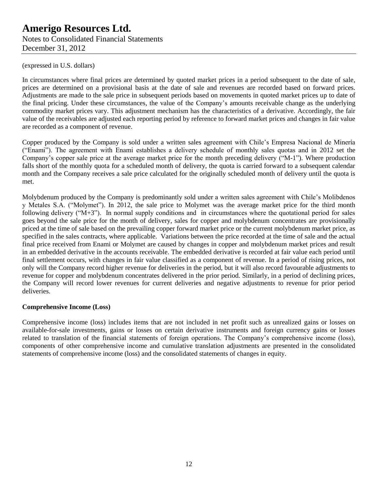Notes to Consolidated Financial Statements December 31, 2012

(expressed in U.S. dollars)

In circumstances where final prices are determined by quoted market prices in a period subsequent to the date of sale, prices are determined on a provisional basis at the date of sale and revenues are recorded based on forward prices. Adjustments are made to the sale price in subsequent periods based on movements in quoted market prices up to date of the final pricing. Under these circumstances, the value of the Company's amounts receivable change as the underlying commodity market prices vary. This adjustment mechanism has the characteristics of a derivative. Accordingly, the fair value of the receivables are adjusted each reporting period by reference to forward market prices and changes in fair value are recorded as a component of revenue.

Copper produced by the Company is sold under a written sales agreement with Chile's Empresa Nacional de Minería ("Enami"). The agreement with Enami establishes a delivery schedule of monthly sales quotas and in 2012 set the Company's copper sale price at the average market price for the month preceding delivery ("M-1"). Where production falls short of the monthly quota for a scheduled month of delivery, the quota is carried forward to a subsequent calendar month and the Company receives a sale price calculated for the originally scheduled month of delivery until the quota is met.

Molybdenum produced by the Company is predominantly sold under a written sales agreement with Chile's Molibdenos y Metales S.A. ("Molymet"). In 2012, the sale price to Molymet was the average market price for the third month following delivery ("M+3"). In normal supply conditions and in circumstances where the quotational period for sales goes beyond the sale price for the month of delivery, sales for copper and molybdenum concentrates are provisionally priced at the time of sale based on the prevailing copper forward market price or the current molybdenum market price, as specified in the sales contracts, where applicable. Variations between the price recorded at the time of sale and the actual final price received from Enami or Molymet are caused by changes in copper and molybdenum market prices and result in an embedded derivative in the accounts receivable. The embedded derivative is recorded at fair value each period until final settlement occurs, with changes in fair value classified as a component of revenue. In a period of rising prices, not only will the Company record higher revenue for deliveries in the period, but it will also record favourable adjustments to revenue for copper and molybdenum concentrates delivered in the prior period. Similarly, in a period of declining prices, the Company will record lower revenues for current deliveries and negative adjustments to revenue for prior period deliveries.

## **Comprehensive Income (Loss)**

Comprehensive income (loss) includes items that are not included in net profit such as unrealized gains or losses on available-for-sale investments, gains or losses on certain derivative instruments and foreign currency gains or losses related to translation of the financial statements of foreign operations. The Company's comprehensive income (loss), components of other comprehensive income and cumulative translation adjustments are presented in the consolidated statements of comprehensive income (loss) and the consolidated statements of changes in equity.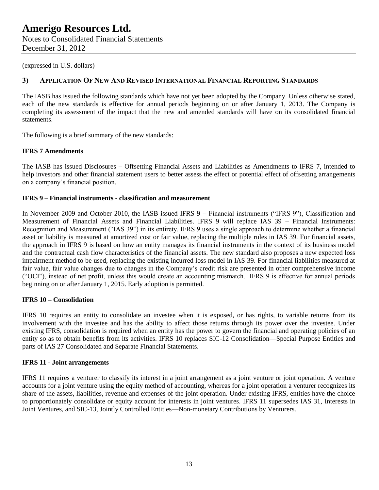Notes to Consolidated Financial Statements December 31, 2012

(expressed in U.S. dollars)

## **3) APPLICATION OF NEW AND REVISED INTERNATIONAL FINANCIAL REPORTING STANDARDS**

The IASB has issued the following standards which have not yet been adopted by the Company. Unless otherwise stated, each of the new standards is effective for annual periods beginning on or after January 1, 2013. The Company is completing its assessment of the impact that the new and amended standards will have on its consolidated financial statements.

The following is a brief summary of the new standards:

### **IFRS 7 Amendments**

The IASB has issued Disclosures – Offsetting Financial Assets and Liabilities as Amendments to IFRS 7, intended to help investors and other financial statement users to better assess the effect or potential effect of offsetting arrangements on a company's financial position.

#### **IFRS 9 – Financial instruments - classification and measurement**

In November 2009 and October 2010, the IASB issued IFRS 9 – Financial instruments ("IFRS 9"), Classification and Measurement of Financial Assets and Financial Liabilities. IFRS 9 will replace IAS 39 – Financial Instruments: Recognition and Measurement ("IAS 39") in its entirety. IFRS 9 uses a single approach to determine whether a financial asset or liability is measured at amortized cost or fair value, replacing the multiple rules in IAS 39. For financial assets, the approach in IFRS 9 is based on how an entity manages its financial instruments in the context of its business model and the contractual cash flow characteristics of the financial assets. The new standard also proposes a new expected loss impairment method to be used, replacing the existing incurred loss model in IAS 39. For financial liabilities measured at fair value, fair value changes due to changes in the Company's credit risk are presented in other comprehensive income ("OCI"), instead of net profit, unless this would create an accounting mismatch. IFRS 9 is effective for annual periods beginning on or after January 1, 2015. Early adoption is permitted.

### **IFRS 10 – Consolidation**

IFRS 10 requires an entity to consolidate an investee when it is exposed, or has rights, to variable returns from its involvement with the investee and has the ability to affect those returns through its power over the investee. Under existing IFRS, consolidation is required when an entity has the power to govern the financial and operating policies of an entity so as to obtain benefits from its activities. IFRS 10 replaces SIC-12 Consolidation—Special Purpose Entities and parts of IAS 27 Consolidated and Separate Financial Statements.

### **IFRS 11 - Joint arrangements**

IFRS 11 requires a venturer to classify its interest in a joint arrangement as a joint venture or joint operation. A venture accounts for a joint venture using the equity method of accounting, whereas for a joint operation a venturer recognizes its share of the assets, liabilities, revenue and expenses of the joint operation. Under existing IFRS, entities have the choice to proportionately consolidate or equity account for interests in joint ventures. IFRS 11 supersedes IAS 31, Interests in Joint Ventures, and SIC-13, Jointly Controlled Entities—Non-monetary Contributions by Venturers.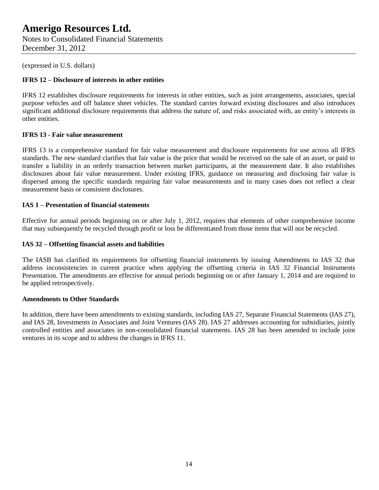Notes to Consolidated Financial Statements December 31, 2012

(expressed in U.S. dollars)

## **IFRS 12 – Disclosure of interests in other entities**

IFRS 12 establishes disclosure requirements for interests in other entities, such as joint arrangements, associates, special purpose vehicles and off balance sheet vehicles. The standard carries forward existing disclosures and also introduces significant additional disclosure requirements that address the nature of, and risks associated with, an entity's interests in other entities.

### **IFRS 13 - Fair value measurement**

IFRS 13 is a comprehensive standard for fair value measurement and disclosure requirements for use across all IFRS standards. The new standard clarifies that fair value is the price that would be received on the sale of an asset, or paid to transfer a liability in an orderly transaction between market participants, at the measurement date. It also establishes disclosures about fair value measurement. Under existing IFRS, guidance on measuring and disclosing fair value is dispersed among the specific standards requiring fair value measurements and in many cases does not reflect a clear measurement basis or consistent disclosures.

### **IAS 1 – Presentation of financial statements**

Effective for annual periods beginning on or after July 1, 2012, requires that elements of other comprehensive income that may subsequently be recycled through profit or loss be differentiated from those items that will not be recycled.

### **IAS 32 – Offsetting financial assets and liabilities**

The IASB has clarified its requirements for offsetting financial instruments by issuing Amendments to IAS 32 that address inconsistencies in current practice when applying the offsetting criteria in IAS 32 Financial Instruments Presentation. The amendments are effective for annual periods beginning on or after January 1, 2014 and are required to be applied retrospectively.

### **Amendments to Other Standards**

In addition, there have been amendments to existing standards, including IAS 27, Separate Financial Statements (IAS 27), and IAS 28, Investments in Associates and Joint Ventures (IAS 28). IAS 27 addresses accounting for subsidiaries, jointly controlled entities and associates in non-consolidated financial statements. IAS 28 has been amended to include joint ventures in its scope and to address the changes in IFRS 11.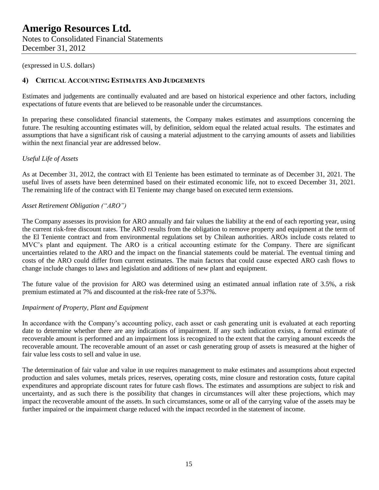Notes to Consolidated Financial Statements December 31, 2012

(expressed in U.S. dollars)

## **4) CRITICAL ACCOUNTING ESTIMATES AND JUDGEMENTS**

Estimates and judgements are continually evaluated and are based on historical experience and other factors, including expectations of future events that are believed to be reasonable under the circumstances.

In preparing these consolidated financial statements, the Company makes estimates and assumptions concerning the future. The resulting accounting estimates will, by definition, seldom equal the related actual results. The estimates and assumptions that have a significant risk of causing a material adjustment to the carrying amounts of assets and liabilities within the next financial year are addressed below.

### *Useful Life of Assets*

As at December 31, 2012, the contract with El Teniente has been estimated to terminate as of December 31, 2021. The useful lives of assets have been determined based on their estimated economic life, not to exceed December 31, 2021. The remaining life of the contract with El Teniente may change based on executed term extensions.

### *Asset Retirement Obligation ("ARO")*

The Company assesses its provision for ARO annually and fair values the liability at the end of each reporting year, using the current risk-free discount rates. The ARO results from the obligation to remove property and equipment at the term of the El Teniente contract and from environmental regulations set by Chilean authorities. AROs include costs related to MVC's plant and equipment. The ARO is a critical accounting estimate for the Company. There are significant uncertainties related to the ARO and the impact on the financial statements could be material. The eventual timing and costs of the ARO could differ from current estimates. The main factors that could cause expected ARO cash flows to change include changes to laws and legislation and additions of new plant and equipment.

The future value of the provision for ARO was determined using an estimated annual inflation rate of 3.5%, a risk premium estimated at 7% and discounted at the risk-free rate of 5.37%.

### *Impairment of Property, Plant and Equipment*

In accordance with the Company's accounting policy, each asset or cash generating unit is evaluated at each reporting date to determine whether there are any indications of impairment. If any such indication exists, a formal estimate of recoverable amount is performed and an impairment loss is recognized to the extent that the carrying amount exceeds the recoverable amount. The recoverable amount of an asset or cash generating group of assets is measured at the higher of fair value less costs to sell and value in use.

The determination of fair value and value in use requires management to make estimates and assumptions about expected production and sales volumes, metals prices, reserves, operating costs, mine closure and restoration costs, future capital expenditures and appropriate discount rates for future cash flows. The estimates and assumptions are subject to risk and uncertainty, and as such there is the possibility that changes in circumstances will alter these projections, which may impact the recoverable amount of the assets. In such circumstances, some or all of the carrying value of the assets may be further impaired or the impairment charge reduced with the impact recorded in the statement of income.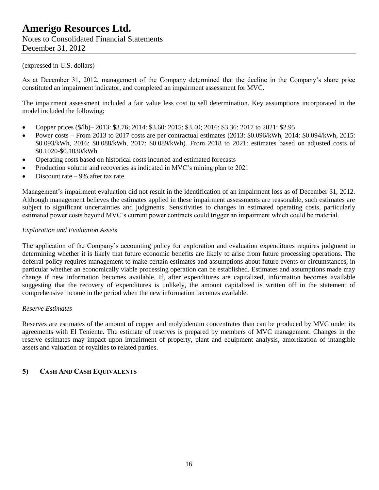Notes to Consolidated Financial Statements December 31, 2012

### (expressed in U.S. dollars)

As at December 31, 2012, management of the Company determined that the decline in the Company's share price constituted an impairment indicator, and completed an impairment assessment for MVC.

The impairment assessment included a fair value less cost to sell determination. Key assumptions incorporated in the model included the following:

- Copper prices (\$/lb)– 2013: \$3.76; 2014: \$3.60: 2015: \$3.40; 2016: \$3.36: 2017 to 2021: \$2.95
- Power costs From 2013 to 2017 costs are per contractual estimates (2013: \$0.096/kWh, 2014: \$0.094/kWh, 2015: \$0.093/kWh, 2016: \$0.088/kWh, 2017: \$0.089/kWh). From 2018 to 2021: estimates based on adjusted costs of \$0.1020-\$0.1030/kWh
- Operating costs based on historical costs incurred and estimated forecasts
- Production volume and recoveries as indicated in MVC's mining plan to 2021
- Discount rate 9% after tax rate

Management's impairment evaluation did not result in the identification of an impairment loss as of December 31, 2012. Although management believes the estimates applied in these impairment assessments are reasonable, such estimates are subject to significant uncertainties and judgments. Sensitivities to changes in estimated operating costs, particularly estimated power costs beyond MVC's current power contracts could trigger an impairment which could be material.

### *Exploration and Evaluation Assets*

The application of the Company's accounting policy for exploration and evaluation expenditures requires judgment in determining whether it is likely that future economic benefits are likely to arise from future processing operations. The deferral policy requires management to make certain estimates and assumptions about future events or circumstances, in particular whether an economically viable processing operation can be established. Estimates and assumptions made may change if new information becomes available. If, after expenditures are capitalized, information becomes available suggesting that the recovery of expenditures is unlikely, the amount capitalized is written off in the statement of comprehensive income in the period when the new information becomes available.

### *Reserve Estimates*

Reserves are estimates of the amount of copper and molybdenum concentrates than can be produced by MVC under its agreements with El Teniente. The estimate of reserves is prepared by members of MVC management. Changes in the reserve estimates may impact upon impairment of property, plant and equipment analysis, amortization of intangible assets and valuation of royalties to related parties.

## **5) CASH AND CASH EQUIVALENTS**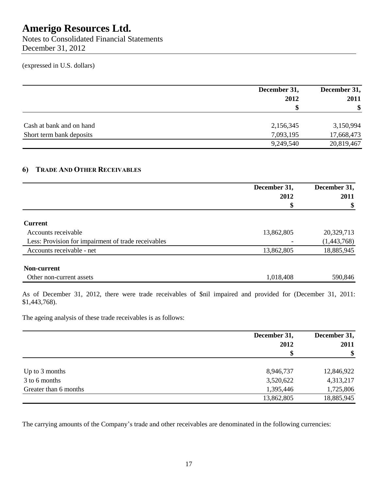Notes to Consolidated Financial Statements December 31, 2012

(expressed in U.S. dollars)

|                          | December 31,<br>2012 | December 31,<br>2011<br>$\mathbf{\$}$ |
|--------------------------|----------------------|---------------------------------------|
|                          | \$                   |                                       |
| Cash at bank and on hand | 2,156,345            | 3,150,994                             |
| Short term bank deposits | 7,093,195            | 17,668,473                            |
|                          | 9,249,540            | 20,819,467                            |

## **6) TRADE AND OTHER RECEIVABLES**

|                                                     | December 31, | December 31, |  |
|-----------------------------------------------------|--------------|--------------|--|
|                                                     | 2012         | 2011<br>\$   |  |
|                                                     | \$           |              |  |
| <b>Current</b>                                      |              |              |  |
| Accounts receivable                                 | 13,862,805   | 20,329,713   |  |
| Less: Provision for impairment of trade receivables |              | (1,443,768)  |  |
| Accounts receivable - net                           | 13,862,805   | 18,885,945   |  |
| Non-current                                         |              |              |  |
| Other non-current assets                            | 1,018,408    | 590,846      |  |

As of December 31, 2012, there were trade receivables of \$nil impaired and provided for (December 31, 2011: \$1,443,768).

The ageing analysis of these trade receivables is as follows:

|                       | December 31, | December 31,              |  |
|-----------------------|--------------|---------------------------|--|
|                       | 2012         | 2011<br>$\boldsymbol{\$}$ |  |
|                       | \$           |                           |  |
| Up to 3 months        | 8,946,737    | 12,846,922                |  |
| 3 to 6 months         | 3,520,622    | 4,313,217                 |  |
| Greater than 6 months | 1,395,446    | 1,725,806                 |  |
|                       | 13,862,805   | 18,885,945                |  |

The carrying amounts of the Company's trade and other receivables are denominated in the following currencies: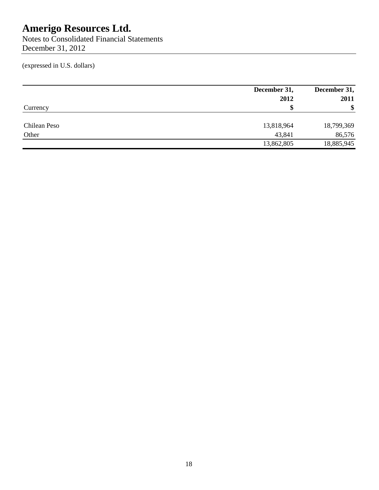Notes to Consolidated Financial Statements December 31, 2012

(expressed in U.S. dollars)

|              | December 31,<br>2012 | December 31,<br>2011 |
|--------------|----------------------|----------------------|
| Currency     | \$                   | \$                   |
| Chilean Peso | 13,818,964           | 18,799,369           |
| Other        | 43,841               | 86,576               |
|              | 13,862,805           | 18,885,945           |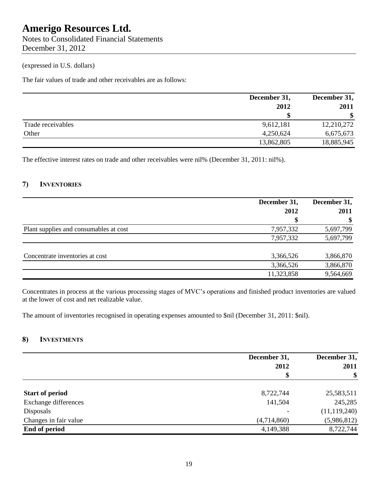Notes to Consolidated Financial Statements December 31, 2012

(expressed in U.S. dollars)

The fair values of trade and other receivables are as follows:

|                   | December 31, | December 31,<br>2011 |
|-------------------|--------------|----------------------|
|                   | 2012         |                      |
|                   | \$           | \$                   |
| Trade receivables | 9,612,181    | 12,210,272           |
| Other             | 4,250,624    | 6,675,673            |
|                   | 13,862,805   | 18,885,945           |

The effective interest rates on trade and other receivables were nil% (December 31, 2011: nil%).

## **7) INVENTORIES**

|                                        | December 31, | December 31, |  |
|----------------------------------------|--------------|--------------|--|
|                                        | 2012         | 2011         |  |
|                                        | \$           |              |  |
| Plant supplies and consumables at cost | 7,957,332    | 5,697,799    |  |
|                                        | 7,957,332    | 5,697,799    |  |
| Concentrate inventories at cost        | 3,366,526    | 3,866,870    |  |
|                                        | 3,366,526    | 3,866,870    |  |
|                                        | 11,323,858   | 9,564,669    |  |

Concentrates in process at the various processing stages of MVC's operations and finished product inventories are valued at the lower of cost and net realizable value.

The amount of inventories recognised in operating expenses amounted to \$nil (December 31, 2011: \$nil).

## **8) INVESTMENTS**

|                        | December 31, | December 31,   |
|------------------------|--------------|----------------|
|                        | 2012         | 2011           |
|                        | \$           | \$             |
| <b>Start of period</b> | 8,722,744    | 25,583,511     |
| Exchange differences   | 141,504      | 245,285        |
| Disposals              |              | (11, 119, 240) |
| Changes in fair value  | (4,714,860)  | (5,986,812)    |
| End of period          | 4,149,388    | 8,722,744      |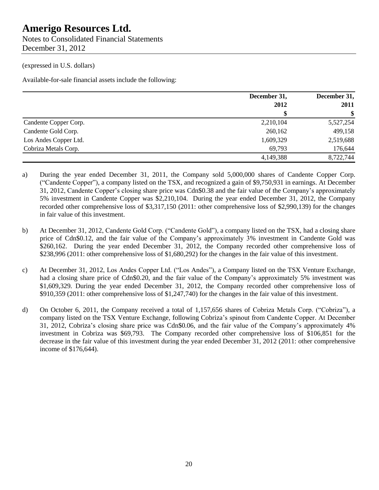Notes to Consolidated Financial Statements December 31, 2012

(expressed in U.S. dollars)

Available-for-sale financial assets include the following:

|                       | December 31, | December 31,<br>2011 |  |
|-----------------------|--------------|----------------------|--|
|                       | 2012         |                      |  |
|                       | S            |                      |  |
| Candente Copper Corp. | 2,210,104    | 5,527,254            |  |
| Candente Gold Corp.   | 260,162      | 499,158              |  |
| Los Andes Copper Ltd. | 1,609,329    | 2,519,688            |  |
| Cobriza Metals Corp.  | 69,793       | 176,644              |  |
|                       | 4,149,388    | 8,722,744            |  |

a) During the year ended December 31, 2011, the Company sold 5,000,000 shares of Candente Copper Corp. ("Candente Copper"), a company listed on the TSX, and recognized a gain of \$9,750,931 in earnings. At December 31, 2012, Candente Copper's closing share price was Cdn\$0.38 and the fair value of the Company's approximately 5% investment in Candente Copper was \$2,210,104. During the year ended December 31, 2012, the Company recorded other comprehensive loss of \$3,317,150 (2011: other comprehensive loss of \$2,990,139) for the changes in fair value of this investment.

- b) At December 31, 2012, Candente Gold Corp. ("Candente Gold"), a company listed on the TSX, had a closing share price of Cdn\$0.12, and the fair value of the Company's approximately 3% investment in Candente Gold was \$260,162. During the year ended December 31, 2012, the Company recorded other comprehensive loss of \$238,996 (2011: other comprehensive loss of \$1,680,292) for the changes in the fair value of this investment.
- c) At December 31, 2012, Los Andes Copper Ltd. ("Los Andes"), a Company listed on the TSX Venture Exchange, had a closing share price of Cdn\$0.20, and the fair value of the Company's approximately 5% investment was \$1,609,329. During the year ended December 31, 2012, the Company recorded other comprehensive loss of \$910,359 (2011: other comprehensive loss of \$1,247,740) for the changes in the fair value of this investment.
- d) On October 6, 2011, the Company received a total of 1,157,656 shares of Cobriza Metals Corp. ("Cobriza"), a company listed on the TSX Venture Exchange, following Cobriza's spinout from Candente Copper. At December 31, 2012, Cobriza's closing share price was Cdn\$0.06, and the fair value of the Company's approximately 4% investment in Cobriza was \$69,793. The Company recorded other comprehensive loss of \$106,851 for the decrease in the fair value of this investment during the year ended December 31, 2012 (2011: other comprehensive income of \$176,644).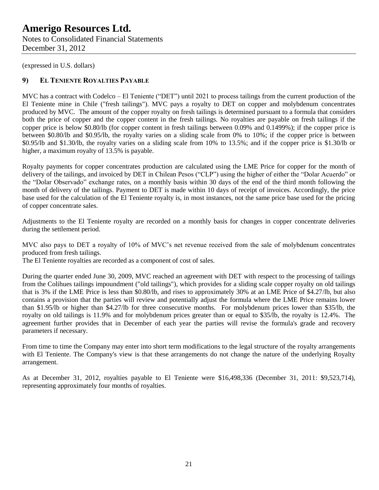Notes to Consolidated Financial Statements December 31, 2012

(expressed in U.S. dollars)

## **9) EL TENIENTE ROYALTIES PAYABLE**

MVC has a contract with Codelco – El Teniente ("DET") until 2021 to process tailings from the current production of the El Teniente mine in Chile ("fresh tailings"). MVC pays a royalty to DET on copper and molybdenum concentrates produced by MVC. The amount of the copper royalty on fresh tailings is determined pursuant to a formula that considers both the price of copper and the copper content in the fresh tailings. No royalties are payable on fresh tailings if the copper price is below \$0.80/lb (for copper content in fresh tailings between 0.09% and 0.1499%); if the copper price is between \$0.80/lb and \$0.95/lb, the royalty varies on a sliding scale from 0% to 10%; if the copper price is between \$0.95/lb and \$1.30/lb, the royalty varies on a sliding scale from 10% to 13.5%; and if the copper price is \$1.30/lb or higher, a maximum royalty of 13.5% is payable.

Royalty payments for copper concentrates production are calculated using the LME Price for copper for the month of delivery of the tailings, and invoiced by DET in Chilean Pesos ("CLP") using the higher of either the "Dolar Acuerdo" or the "Dolar Observado" exchange rates, on a monthly basis within 30 days of the end of the third month following the month of delivery of the tailings. Payment to DET is made within 10 days of receipt of invoices. Accordingly, the price base used for the calculation of the El Teniente royalty is, in most instances, not the same price base used for the pricing of copper concentrate sales.

Adjustments to the El Teniente royalty are recorded on a monthly basis for changes in copper concentrate deliveries during the settlement period.

MVC also pays to DET a royalty of 10% of MVC's net revenue received from the sale of molybdenum concentrates produced from fresh tailings.

The El Teniente royalties are recorded as a component of cost of sales.

During the quarter ended June 30, 2009, MVC reached an agreement with DET with respect to the processing of tailings from the Colihues tailings impoundment ("old tailings"), which provides for a sliding scale copper royalty on old tailings that is 3% if the LME Price is less than \$0.80/lb, and rises to approximately 30% at an LME Price of \$4.27/lb, but also contains a provision that the parties will review and potentially adjust the formula where the LME Price remains lower than \$1.95/lb or higher than \$4.27/lb for three consecutive months. For molybdenum prices lower than \$35/lb, the royalty on old tailings is 11.9% and for molybdenum prices greater than or equal to \$35/lb, the royalty is 12.4%. The agreement further provides that in December of each year the parties will revise the formula's grade and recovery parameters if necessary.

From time to time the Company may enter into short term modifications to the legal structure of the royalty arrangements with El Teniente. The Company's view is that these arrangements do not change the nature of the underlying Royalty arrangement.

As at December 31, 2012, royalties payable to El Teniente were \$16,498,336 (December 31, 2011: \$9,523,714), representing approximately four months of royalties.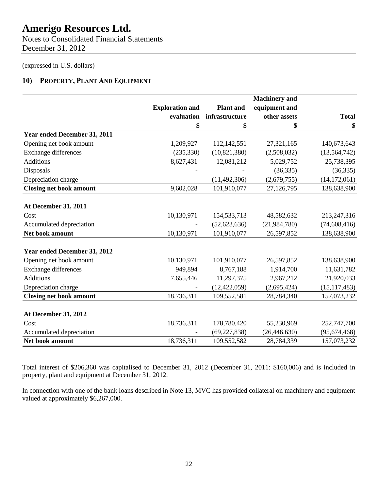Notes to Consolidated Financial Statements December 31, 2012

(expressed in U.S. dollars)

## **10) PROPERTY, PLANT AND EQUIPMENT**

|                                |                        |                  | <b>Machinery</b> and |                |
|--------------------------------|------------------------|------------------|----------------------|----------------|
|                                | <b>Exploration and</b> | <b>Plant</b> and | equipment and        |                |
|                                | evaluation             | infrastructure   | other assets         | <b>Total</b>   |
|                                | \$                     | \$               | \$                   | \$             |
| Year ended December 31, 2011   |                        |                  |                      |                |
| Opening net book amount        | 1,209,927              | 112,142,551      | 27,321,165           | 140,673,643    |
| Exchange differences           | (235, 330)             | (10, 821, 380)   | (2,508,032)          | (13, 564, 742) |
| <b>Additions</b>               | 8,627,431              | 12,081,212       | 5,029,752            | 25,738,395     |
| Disposals                      |                        |                  | (36, 335)            | (36, 335)      |
| Depreciation charge            |                        | (11, 492, 306)   | (2,679,755)          | (14, 172, 061) |
| <b>Closing net book amount</b> | 9,602,028              | 101,910,077      | 27,126,795           | 138,638,900    |
|                                |                        |                  |                      |                |
| At December 31, 2011           |                        |                  |                      |                |
| Cost                           | 10,130,971             | 154, 533, 713    | 48,582,632           | 213,247,316    |
| Accumulated depreciation       |                        | (52, 623, 636)   | (21, 984, 780)       | (74, 608, 416) |
| Net book amount                | 10,130,971             | 101,910,077      | 26,597,852           | 138,638,900    |
|                                |                        |                  |                      |                |
| Year ended December 31, 2012   |                        |                  |                      |                |
| Opening net book amount        | 10,130,971             | 101,910,077      | 26,597,852           | 138,638,900    |
| Exchange differences           | 949,894                | 8,767,188        | 1,914,700            | 11,631,782     |
| <b>Additions</b>               | 7,655,446              | 11,297,375       | 2,967,212            | 21,920,033     |
| Depreciation charge            |                        | (12, 422, 059)   | (2,695,424)          | (15, 117, 483) |
| <b>Closing net book amount</b> | 18,736,311             | 109,552,581      | 28,784,340           | 157,073,232    |
| <b>At December 31, 2012</b>    |                        |                  |                      |                |
| Cost                           | 18,736,311             | 178,780,420      | 55,230,969           | 252,747,700    |
| Accumulated depreciation       |                        | (69, 227, 838)   | (26, 446, 630)       | (95, 674, 468) |
| Net book amount                | 18,736,311             | 109,552,582      | 28,784,339           | 157,073,232    |

Total interest of \$206,360 was capitalised to December 31, 2012 (December 31, 2011: \$160,006) and is included in property, plant and equipment at December 31, 2012.

In connection with one of the bank loans described in Note 13, MVC has provided collateral on machinery and equipment valued at approximately \$6,267,000.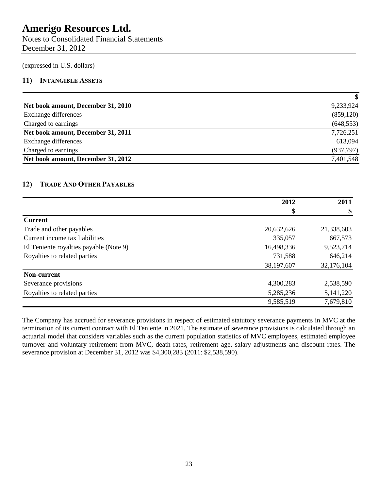Notes to Consolidated Financial Statements December 31, 2012

(expressed in U.S. dollars)

## **11) INTANGIBLE ASSETS**

|                                    | \$         |
|------------------------------------|------------|
| Net book amount, December 31, 2010 | 9,233,924  |
| Exchange differences               | (859, 120) |
| Charged to earnings                | (648, 553) |
| Net book amount, December 31, 2011 | 7,726,251  |
| Exchange differences               | 613,094    |
| Charged to earnings                | (937, 797) |
| Net book amount, December 31, 2012 | 7,401,548  |

## **12) TRADE AND OTHER PAYABLES**

|                                        | 2012       | 2011       |
|----------------------------------------|------------|------------|
|                                        | \$         | \$         |
| <b>Current</b>                         |            |            |
| Trade and other payables               | 20,632,626 | 21,338,603 |
| Current income tax liabilities         | 335,057    | 667,573    |
| El Teniente royalties payable (Note 9) | 16,498,336 | 9,523,714  |
| Royalties to related parties           | 731,588    | 646,214    |
|                                        | 38,197,607 | 32,176,104 |
| Non-current                            |            |            |
| Severance provisions                   | 4,300,283  | 2,538,590  |
| Royalties to related parties           | 5,285,236  | 5,141,220  |
|                                        | 9,585,519  | 7,679,810  |

The Company has accrued for severance provisions in respect of estimated statutory severance payments in MVC at the termination of its current contract with El Teniente in 2021. The estimate of severance provisions is calculated through an actuarial model that considers variables such as the current population statistics of MVC employees, estimated employee turnover and voluntary retirement from MVC, death rates, retirement age, salary adjustments and discount rates. The severance provision at December 31, 2012 was \$4,300,283 (2011: \$2,538,590).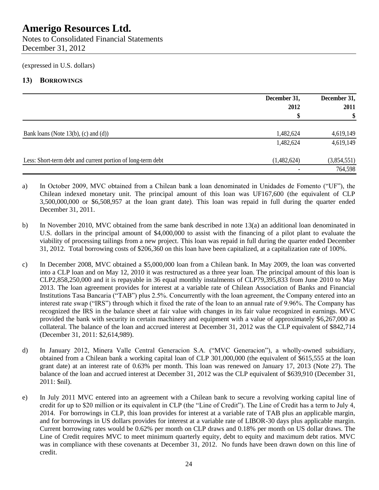Notes to Consolidated Financial Statements December 31, 2012

(expressed in U.S. dollars)

## **13) BORROWINGS**

|                                                             | December 31, |             |  |
|-------------------------------------------------------------|--------------|-------------|--|
|                                                             | 2012         | 2011        |  |
|                                                             | \$           | \$          |  |
|                                                             |              |             |  |
| Bank loans (Note $13(b)$ , (c) and (d))                     | 1,482,624    | 4,619,149   |  |
|                                                             | 1,482,624    | 4,619,149   |  |
|                                                             |              |             |  |
| Less: Short-term debt and current portion of long-term debt | (1,482,624)  | (3,854,551) |  |
|                                                             |              | 764,598     |  |

a) In October 2009, MVC obtained from a Chilean bank a loan denominated in Unidades de Fomento ("UF"), the Chilean indexed monetary unit. The principal amount of this loan was UF167,600 (the equivalent of CLP 3,500,000,000 or \$6,508,957 at the loan grant date). This loan was repaid in full during the quarter ended December 31, 2011.

- b) In November 2010, MVC obtained from the same bank described in note 13(a) an additional loan denominated in U.S. dollars in the principal amount of \$4,000,000 to assist with the financing of a pilot plant to evaluate the viability of processing tailings from a new project. This loan was repaid in full during the quarter ended December 31, 2012. Total borrowing costs of \$206,360 on this loan have been capitalized, at a capitalization rate of 100%.
- c) In December 2008, MVC obtained a \$5,000,000 loan from a Chilean bank. In May 2009, the loan was converted into a CLP loan and on May 12, 2010 it was restructured as a three year loan. The principal amount of this loan is CLP2,858,250,000 and it is repayable in 36 equal monthly instalments of CLP79,395,833 from June 2010 to May 2013. The loan agreement provides for interest at a variable rate of Chilean Association of Banks and Financial Institutions Tasa Bancaria ("TAB") plus 2.5%. Concurrently with the loan agreement, the Company entered into an interest rate swap ("IRS") through which it fixed the rate of the loan to an annual rate of 9.96%. The Company has recognized the IRS in the balance sheet at fair value with changes in its fair value recognized in earnings. MVC provided the bank with security in certain machinery and equipment with a value of approximately \$6,267,000 as collateral. The balance of the loan and accrued interest at December 31, 2012 was the CLP equivalent of \$842,714 (December 31, 2011: \$2,614,989).
- d) In January 2012, Minera Valle Central Generacion S.A. ("MVC Generacion"), a wholly-owned subsidiary, obtained from a Chilean bank a working capital loan of CLP 301,000,000 (the equivalent of \$615,555 at the loan grant date) at an interest rate of 0.63% per month. This loan was renewed on January 17, 2013 (Note 27). The balance of the loan and accrued interest at December 31, 2012 was the CLP equivalent of \$639,910 (December 31, 2011: \$nil).
- e) In July 2011 MVC entered into an agreement with a Chilean bank to secure a revolving working capital line of credit for up to \$20 million or its equivalent in CLP (the "Line of Credit"). The Line of Credit has a term to July 4, 2014. For borrowings in CLP, this loan provides for interest at a variable rate of TAB plus an applicable margin, and for borrowings in US dollars provides for interest at a variable rate of LIBOR-30 days plus applicable margin. Current borrowing rates would be 0.62% per month on CLP draws and 0.18% per month on US dollar draws. The Line of Credit requires MVC to meet minimum quarterly equity, debt to equity and maximum debt ratios. MVC was in compliance with these covenants at December 31, 2012. No funds have been drawn down on this line of credit.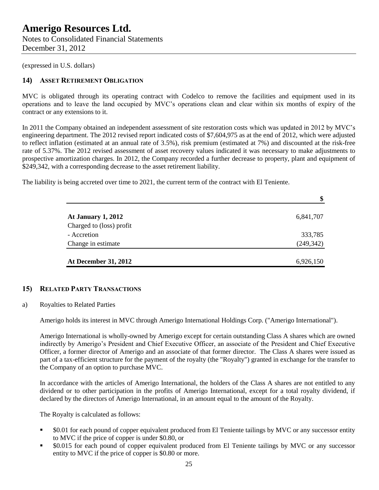Notes to Consolidated Financial Statements December 31, 2012

(expressed in U.S. dollars)

## **14) ASSET RETIREMENT OBLIGATION**

MVC is obligated through its operating contract with Codelco to remove the facilities and equipment used in its operations and to leave the land occupied by MVC's operations clean and clear within six months of expiry of the contract or any extensions to it.

In 2011 the Company obtained an independent assessment of site restoration costs which was updated in 2012 by MVC's engineering department. The 2012 revised report indicated costs of \$7,604,975 as at the end of 2012, which were adjusted to reflect inflation (estimated at an annual rate of 3.5%), risk premium (estimated at 7%) and discounted at the risk-free rate of 5.37%. The 2012 revised assessment of asset recovery values indicated it was necessary to make adjustments to prospective amortization charges. In 2012, the Company recorded a further decrease to property, plant and equipment of \$249,342, with a corresponding decrease to the asset retirement liability.

The liability is being accreted over time to 2021, the current term of the contract with El Teniente.

| <b>At January 1, 2012</b> | 6,841,707  |
|---------------------------|------------|
| Charged to (loss) profit  |            |
| - Accretion               | 333,785    |
| Change in estimate        | (249, 342) |

### **15) RELATED PARTY TRANSACTIONS**

a) Royalties to Related Parties

Amerigo holds its interest in MVC through Amerigo International Holdings Corp. ("Amerigo International").

Amerigo International is wholly-owned by Amerigo except for certain outstanding Class A shares which are owned indirectly by Amerigo's President and Chief Executive Officer, an associate of the President and Chief Executive Officer, a former director of Amerigo and an associate of that former director. The Class A shares were issued as part of a tax-efficient structure for the payment of the royalty (the "Royalty") granted in exchange for the transfer to the Company of an option to purchase MVC.

In accordance with the articles of Amerigo International, the holders of the Class A shares are not entitled to any dividend or to other participation in the profits of Amerigo International, except for a total royalty dividend, if declared by the directors of Amerigo International, in an amount equal to the amount of the Royalty.

The Royalty is calculated as follows:

- \$0.01 for each pound of copper equivalent produced from El Teniente tailings by MVC or any successor entity to MVC if the price of copper is under \$0.80, or
- **•** \$0.015 for each pound of copper equivalent produced from El Teniente tailings by MVC or any successor entity to MVC if the price of copper is \$0.80 or more.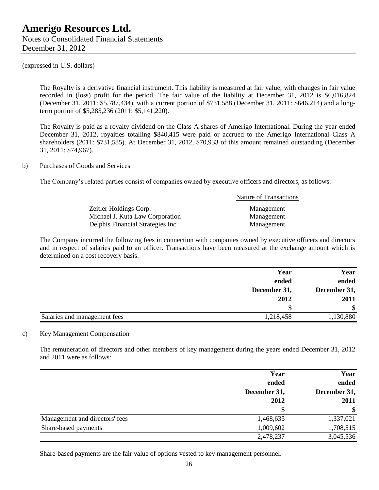Notes to Consolidated Financial Statements December 31, 2012

(expressed in U.S. dollars)

The Royalty is a derivative financial instrument. This liability is measured at fair value, with changes in fair value recorded in (loss) profit for the period. The fair value of the liability at December 31, 2012 is \$6,016,824 (December 31, 2011: \$5,787,434), with a current portion of \$731,588 (December 31, 2011: \$646,214) and a longterm portion of \$5,285,236 (2011: \$5,141,220).

The Royalty is paid as a royalty dividend on the Class A shares of Amerigo International. During the year ended December 31, 2012, royalties totalling \$840,415 were paid or accrued to the Amerigo International Class A shareholders (2011: \$731,585). At December 31, 2012, \$70,933 of this amount remained outstanding (December 31, 2011: \$74,967).

### b) Purchases of Goods and Services

The Company's related parties consist of companies owned by executive officers and directors, as follows:

|                                   | Nature of Transactions |
|-----------------------------------|------------------------|
| Zeitler Holdings Corp.            | Management             |
| Michael J. Kuta Law Corporation   | Management             |
| Delphis Financial Strategies Inc. | Management             |

The Company incurred the following fees in connection with companies owned by executive officers and directors and in respect of salaries paid to an officer. Transactions have been measured at the exchange amount which is determined on a cost recovery basis.

|                              | Year         | Year         |
|------------------------------|--------------|--------------|
|                              | ended        | ended        |
|                              | December 31, | December 31, |
|                              | 2012         | 2011         |
|                              |              | \$           |
| Salaries and management fees | 1,218,458    | 1,130,880    |

### c) Key Management Compensation

The remuneration of directors and other members of key management during the years ended December 31, 2012 and 2011 were as follows:

|                                | Year         | Year         |  |
|--------------------------------|--------------|--------------|--|
|                                | ended        | ended        |  |
|                                | December 31, | December 31, |  |
|                                | 2012         | 2011         |  |
|                                |              | \$           |  |
| Management and directors' fees | 1,468,635    | 1,337,021    |  |
| Share-based payments           | 1,009,602    | 1,708,515    |  |
|                                | 2,478,237    | 3,045,536    |  |

Share-based payments are the fair value of options vested to key management personnel.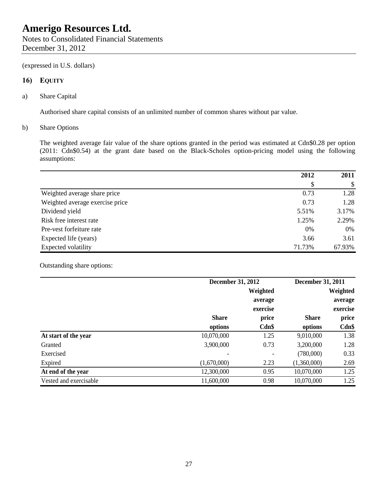Notes to Consolidated Financial Statements December 31, 2012

(expressed in U.S. dollars)

## **16) EQUITY**

a) Share Capital

Authorised share capital consists of an unlimited number of common shares without par value.

b) Share Options

The weighted average fair value of the share options granted in the period was estimated at Cdn\$0.28 per option (2011: Cdn\$0.54) at the grant date based on the Black-Scholes option-pricing model using the following assumptions:

|                                 | 2012   | 2011   |
|---------------------------------|--------|--------|
|                                 | \$     | \$     |
| Weighted average share price    | 0.73   | 1.28   |
| Weighted average exercise price | 0.73   | 1.28   |
| Dividend yield                  | 5.51%  | 3.17%  |
| Risk free interest rate         | 1.25%  | 2.29%  |
| Pre-vest forfeiture rate        | 0%     | 0%     |
| Expected life (years)           | 3.66   | 3.61   |
| Expected volatility             | 71.73% | 67.93% |

Outstanding share options:

|                        |              | December 31, 2012 |              | December 31, 2011 |  |  |
|------------------------|--------------|-------------------|--------------|-------------------|--|--|
|                        |              | Weighted          |              | Weighted          |  |  |
|                        |              | average           |              | average           |  |  |
|                        |              | exercise          |              | exercise          |  |  |
|                        | <b>Share</b> | price             | <b>Share</b> | price             |  |  |
|                        | options      | Cdn\$             | options      | $Cdn$ \$          |  |  |
| At start of the year   | 10,070,000   | 1.25              | 9,010,000    | 1.38              |  |  |
| Granted                | 3,900,000    | 0.73              | 3,200,000    | 1.28              |  |  |
| Exercised              |              |                   | (780,000)    | 0.33              |  |  |
| Expired                | (1,670,000)  | 2.23              | (1,360,000)  | 2.69              |  |  |
| At end of the year     | 12,300,000   | 0.95              | 10,070,000   | 1.25              |  |  |
| Vested and exercisable | 11,600,000   | 0.98              | 10,070,000   | 1.25              |  |  |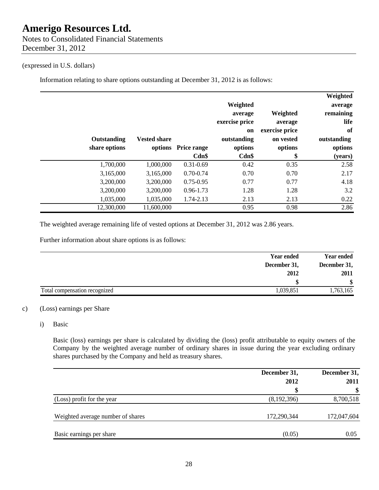Notes to Consolidated Financial Statements December 31, 2012

## (expressed in U.S. dollars)

Information relating to share options outstanding at December 31, 2012 is as follows:

|                              |                                |               | Weighted<br>average<br>exercise price<br><sub>on</sub> | Weighted<br>average<br>exercise price | Weighted<br>average<br>remaining<br>life<br>of |
|------------------------------|--------------------------------|---------------|--------------------------------------------------------|---------------------------------------|------------------------------------------------|
| Outstanding<br>share options | <b>Vested share</b><br>options | Price range   | outstanding<br>options                                 | on vested<br>options                  | outstanding<br>options                         |
|                              |                                | Cdn\$         | Cdn\$                                                  | \$                                    | (years)                                        |
| 1,700,000                    | 1,000,000                      | $0.31 - 0.69$ | 0.42                                                   | 0.35                                  | 2.58                                           |
| 3,165,000                    | 3,165,000                      | $0.70 - 0.74$ | 0.70                                                   | 0.70                                  | 2.17                                           |
| 3,200,000                    | 3,200,000                      | $0.75 - 0.95$ | 0.77                                                   | 0.77                                  | 4.18                                           |
| 3,200,000                    | 3,200,000                      | $0.96 - 1.73$ | 1.28                                                   | 1.28                                  | 3.2                                            |
| 1,035,000                    | 1,035,000                      | 1.74-2.13     | 2.13                                                   | 2.13                                  | 0.22                                           |
| 12,300,000                   | 11,600,000                     |               | 0.95                                                   | 0.98                                  | 2.86                                           |

The weighted average remaining life of vested options at December 31, 2012 was 2.86 years.

Further information about share options is as follows:

|                               | <b>Year ended</b> | <b>Year ended</b> |
|-------------------------------|-------------------|-------------------|
|                               | December 31,      | December 31,      |
|                               | 2012              | 2011              |
|                               |                   |                   |
| Total compensation recognized | 1,039,851         | 1,763,165         |

### c) (Loss) earnings per Share

i) Basic

Basic (loss) earnings per share is calculated by dividing the (loss) profit attributable to equity owners of the Company by the weighted average number of ordinary shares in issue during the year excluding ordinary shares purchased by the Company and held as treasury shares.

|                                   | December 31, | December 31, |  |
|-----------------------------------|--------------|--------------|--|
|                                   | 2012         | 2011         |  |
|                                   |              | \$           |  |
| (Loss) profit for the year        | (8,192,396)  | 8,700,518    |  |
| Weighted average number of shares | 172,290,344  | 172,047,604  |  |
| Basic earnings per share          | (0.05)       | 0.05         |  |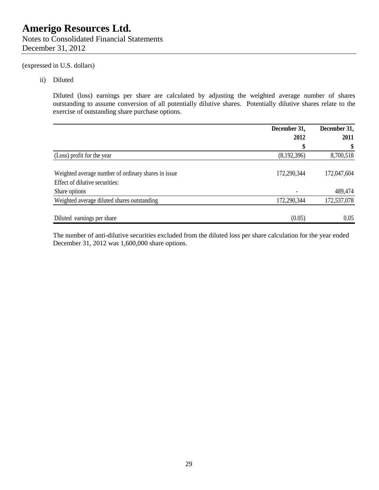(expressed in U.S. dollars)

ii) Diluted

Diluted (loss) earnings per share are calculated by adjusting the weighted average number of shares outstanding to assume conversion of all potentially dilutive shares. Potentially dilutive shares relate to the exercise of outstanding share purchase options.

|                                                     | December 31, | December 31, |  |
|-----------------------------------------------------|--------------|--------------|--|
|                                                     | 2012         | 2011         |  |
|                                                     | \$           | \$           |  |
| (Loss) profit for the year                          | (8,192,396)  | 8,700,518    |  |
| Weighted average number of ordinary shares in issue | 172,290,344  | 172,047,604  |  |
| Effect of dilutive securities:                      |              |              |  |
| Share options                                       |              | 489,474      |  |
| Weighted average diluted shares outstanding         | 172,290,344  | 172,537,078  |  |
| Diluted earnings per share                          | (0.05)       | 0.05         |  |

The number of anti-dilutive securities excluded from the diluted loss per share calculation for the year ended December 31, 2012 was 1,600,000 share options.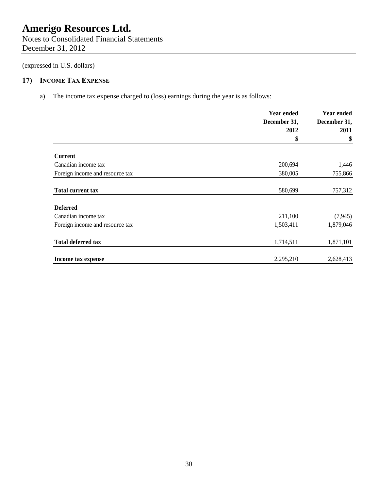(expressed in U.S. dollars)

## **17) INCOME TAX EXPENSE**

a) The income tax expense charged to (loss) earnings during the year is as follows:

|                                 | <b>Year ended</b> | <b>Year ended</b> |  |
|---------------------------------|-------------------|-------------------|--|
|                                 | December 31,      | December 31,      |  |
|                                 | 2012              | 2011              |  |
|                                 | \$                | \$                |  |
| <b>Current</b>                  |                   |                   |  |
| Canadian income tax             | 200,694           | 1,446             |  |
| Foreign income and resource tax | 380,005           | 755,866           |  |
| <b>Total current tax</b>        | 580,699           | 757,312           |  |
| <b>Deferred</b>                 |                   |                   |  |
| Canadian income tax             | 211,100           | (7, 945)          |  |
| Foreign income and resource tax | 1,503,411         | 1,879,046         |  |
| <b>Total deferred tax</b>       | 1,714,511         | 1,871,101         |  |
| Income tax expense              | 2,295,210         | 2,628,413         |  |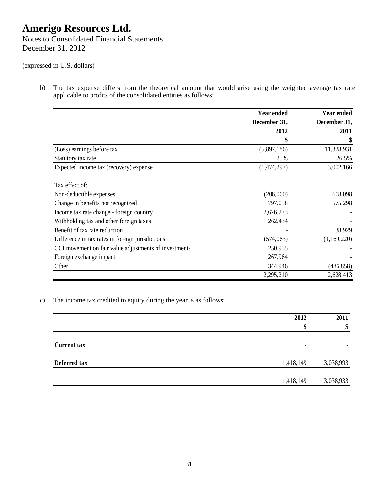(expressed in U.S. dollars)

b) The tax expense differs from the theoretical amount that would arise using the weighted average tax rate applicable to profits of the consolidated entities as follows:

|                                                       | <b>Year ended</b> | Year ended   |
|-------------------------------------------------------|-------------------|--------------|
|                                                       | December 31,      | December 31, |
|                                                       | 2012              | 2011         |
|                                                       | \$                | \$           |
| (Loss) earnings before tax                            | (5,897,186)       | 11,328,931   |
| Statutory tax rate                                    | 25%               | 26.5%        |
| Expected income tax (recovery) expense                | (1,474,297)       | 3,002,166    |
| Tax effect of:                                        |                   |              |
| Non-deductible expenses                               | (206,060)         | 668,098      |
| Change in benefits not recognized                     | 797,058           | 575,298      |
| Income tax rate change - foreign country              | 2,626,273         |              |
| Withholding tax and other foreign taxes               | 262,434           |              |
| Benefit of tax rate reduction                         |                   | 38,929       |
| Difference in tax rates in foreign jurisdictions      | (574,063)         | (1,169,220)  |
| OCI movement on fair value adjustments of investments | 250,955           |              |
| Foreign exchange impact                               | 267,964           |              |
| Other                                                 | 344,946           | (486, 858)   |
|                                                       | 2,295,210         | 2,628,413    |

c) The income tax credited to equity during the year is as follows:

|                    | 2012      | 2011<br>\$ |
|--------------------|-----------|------------|
|                    | ۰D        |            |
| <b>Current tax</b> | ٠         |            |
| Deferred tax       | 1,418,149 | 3,038,993  |
|                    | 1,418,149 | 3,038,933  |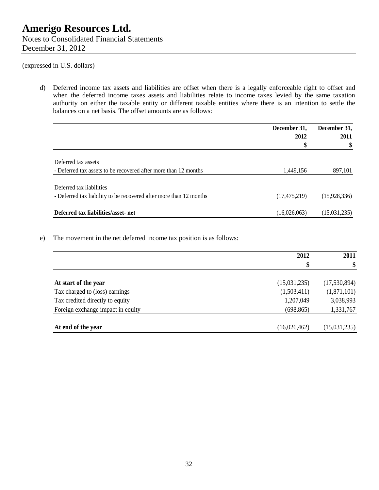(expressed in U.S. dollars)

d) Deferred income tax assets and liabilities are offset when there is a legally enforceable right to offset and when the deferred income taxes assets and liabilities relate to income taxes levied by the same taxation authority on either the taxable entity or different taxable entities where there is an intention to settle the balances on a net basis. The offset amounts are as follows:

|                                                                    | December 31,   | December 31, |  |
|--------------------------------------------------------------------|----------------|--------------|--|
|                                                                    | 2012           | 2011         |  |
|                                                                    | \$             |              |  |
| Deferred tax assets                                                |                |              |  |
| - Deferred tax assets to be recovered after more than 12 months    | 1,449,156      | 897,101      |  |
| Deferred tax liabilities                                           |                |              |  |
| - Deferred tax liability to be recovered after more than 12 months | (17, 475, 219) | (15,928,336) |  |
| Deferred tax liabilities/asset-net                                 | (16,026,063)   | (15,031,235) |  |

e) The movement in the net deferred income tax position is as follows:

|                                   | 2012<br>\$   | 2011<br>\$   |
|-----------------------------------|--------------|--------------|
|                                   |              |              |
| At start of the year              | (15,031,235) | (17,530,894) |
| Tax charged to (loss) earnings    | (1,503,411)  | (1,871,101)  |
| Tax credited directly to equity   | 1,207,049    | 3,038,993    |
| Foreign exchange impact in equity | (698, 865)   | 1,331,767    |
| At end of the year                | (16,026,462) | (15,031,235) |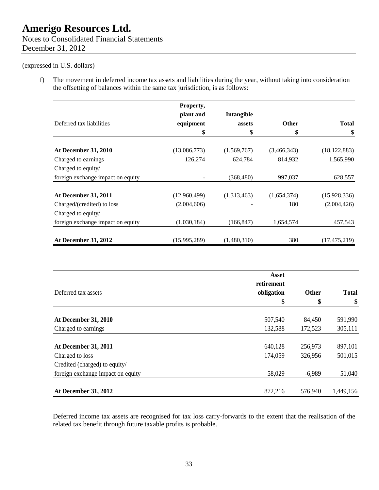(expressed in U.S. dollars)

f) The movement in deferred income tax assets and liabilities during the year, without taking into consideration the offsetting of balances within the same tax jurisdiction, is as follows:

|                                   | Property,    |                   |              |                |
|-----------------------------------|--------------|-------------------|--------------|----------------|
|                                   | plant and    | <b>Intangible</b> |              |                |
| Deferred tax liabilities          | equipment    | assets            | <b>Other</b> | <b>Total</b>   |
|                                   | \$           | \$                | \$           | \$             |
| <b>At December 31, 2010</b>       | (13,086,773) | (1,569,767)       | (3,466,343)  | (18, 122, 883) |
| Charged to earnings               | 126,274      | 624,784           | 814,932      | 1,565,990      |
| Charged to equity/                |              |                   |              |                |
| foreign exchange impact on equity |              | (368, 480)        | 997,037      | 628,557        |
|                                   |              | (1,313,463)       | (1,654,374)  | (15,928,336)   |
| <b>At December 31, 2011</b>       | (12,960,499) |                   |              |                |
| Charged/(credited) to loss        | (2,004,606)  |                   | 180          | (2,004,426)    |
| Charged to equity/                |              |                   |              |                |
| foreign exchange impact on equity | (1,030,184)  | (166, 847)        | 1,654,574    | 457,543        |
| At December 31, 2012              | (15,995,289) | (1,480,310)       | 380          | (17, 475, 219) |

| Deferred tax assets               | <b>Asset</b><br>retirement<br>obligation<br>\$ | <b>Other</b><br>\$ | <b>Total</b><br>\$ |
|-----------------------------------|------------------------------------------------|--------------------|--------------------|
|                                   |                                                |                    |                    |
| <b>At December 31, 2010</b>       | 507,540                                        | 84,450             | 591,990            |
| Charged to earnings               | 132,588                                        | 172,523            | 305,111            |
|                                   |                                                |                    |                    |
| <b>At December 31, 2011</b>       | 640,128                                        | 256,973            | 897,101            |
| Charged to loss                   | 174,059                                        | 326,956            | 501,015            |
| Credited (charged) to equity/     |                                                |                    |                    |
| foreign exchange impact on equity | 58,029                                         | $-6,989$           | 51,040             |
| <b>At December 31, 2012</b>       | 872,216                                        | 576,940            | 1,449,156          |

Deferred income tax assets are recognised for tax loss carry-forwards to the extent that the realisation of the related tax benefit through future taxable profits is probable.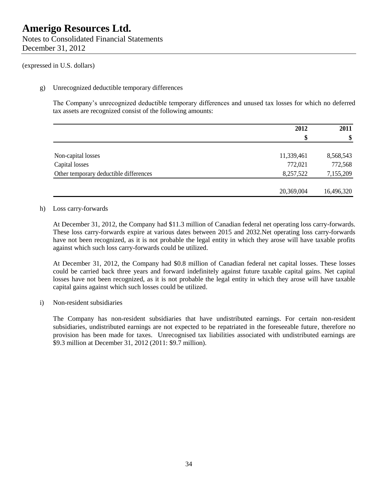### (expressed in U.S. dollars)

## g) Unrecognized deductible temporary differences

The Company's unrecognized deductible temporary differences and unused tax losses for which no deferred tax assets are recognized consist of the following amounts:

|                                        | 2012       | 2011       |  |
|----------------------------------------|------------|------------|--|
|                                        | \$         | \$         |  |
| Non-capital losses                     | 11,339,461 | 8,568,543  |  |
| Capital losses                         | 772,021    | 772,568    |  |
| Other temporary deductible differences | 8,257,522  | 7,155,209  |  |
|                                        | 20,369,004 | 16,496,320 |  |

#### h) Loss carry-forwards

At December 31, 2012, the Company had \$11.3 million of Canadian federal net operating loss carry-forwards. These loss carry-forwards expire at various dates between 2015 and 2032.Net operating loss carry-forwards have not been recognized, as it is not probable the legal entity in which they arose will have taxable profits against which such loss carry-forwards could be utilized.

At December 31, 2012, the Company had \$0.8 million of Canadian federal net capital losses. These losses could be carried back three years and forward indefinitely against future taxable capital gains. Net capital losses have not been recognized, as it is not probable the legal entity in which they arose will have taxable capital gains against which such losses could be utilized.

### i) Non-resident subsidiaries

The Company has non-resident subsidiaries that have undistributed earnings. For certain non-resident subsidiaries, undistributed earnings are not expected to be repatriated in the foreseeable future, therefore no provision has been made for taxes. Unrecognised tax liabilities associated with undistributed earnings are \$9.3 million at December 31, 2012 (2011: \$9.7 million).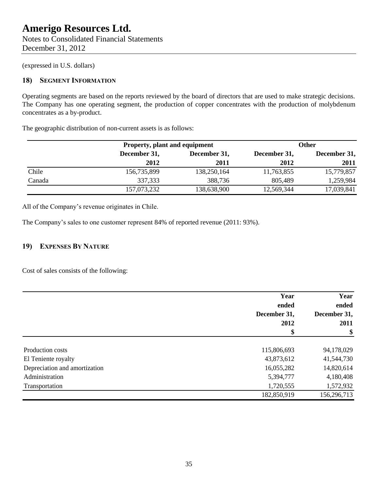(expressed in U.S. dollars)

## **18) SEGMENT INFORMATION**

Operating segments are based on the reports reviewed by the board of directors that are used to make strategic decisions. The Company has one operating segment, the production of copper concentrates with the production of molybdenum concentrates as a by-product.

The geographic distribution of non-current assets is as follows:

|        |              | Property, plant and equipment |              | <b>Other</b> |
|--------|--------------|-------------------------------|--------------|--------------|
|        | December 31, | December 31,                  | December 31, | December 31, |
|        | 2012         | 2011                          | 2012         | 2011         |
| Chile  | 156,735,899  | 138,250,164                   | 11,763,855   | 15,779,857   |
| Canada | 337,333      | 388,736                       | 805,489      | 1,259,984    |
|        | 157,073,232  | 138,638,900                   | 12,569,344   | 17,039,841   |

All of the Company's revenue originates in Chile.

The Company's sales to one customer represent 84% of reported revenue (2011: 93%).

## **19) EXPENSES BY NATURE**

Cost of sales consists of the following:

|                               | Year<br>ended | Year<br>ended |  |
|-------------------------------|---------------|---------------|--|
|                               | December 31,  | December 31,  |  |
|                               | 2012          | 2011          |  |
|                               | \$            | \$            |  |
| Production costs              | 115,806,693   | 94,178,029    |  |
| El Teniente royalty           | 43,873,612    | 41,544,730    |  |
| Depreciation and amortization | 16,055,282    | 14,820,614    |  |
| Administration                | 5,394,777     | 4,180,408     |  |
| Transportation                | 1,720,555     | 1,572,932     |  |
|                               | 182,850,919   | 156,296,713   |  |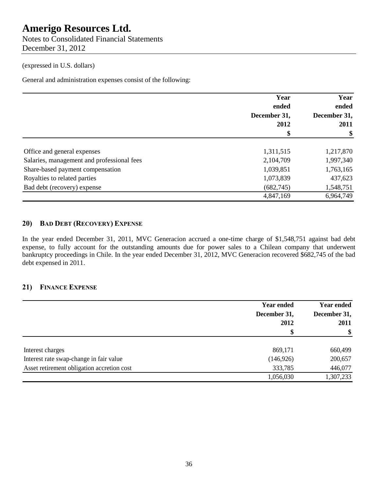Notes to Consolidated Financial Statements December 31, 2012

## (expressed in U.S. dollars)

General and administration expenses consist of the following:

|                                            | Year         | Year<br>ended |  |
|--------------------------------------------|--------------|---------------|--|
|                                            | ended        |               |  |
|                                            | December 31, | December 31,  |  |
|                                            | 2012         | 2011          |  |
|                                            | \$           | \$            |  |
| Office and general expenses                | 1,311,515    | 1,217,870     |  |
| Salaries, management and professional fees | 2,104,709    | 1,997,340     |  |
| Share-based payment compensation           | 1,039,851    | 1,763,165     |  |
| Royalties to related parties               | 1,073,839    | 437,623       |  |
| Bad debt (recovery) expense                | (682, 745)   | 1,548,751     |  |
|                                            | 4,847,169    | 6,964,749     |  |

## **20) BAD DEBT (RECOVERY) EXPENSE**

In the year ended December 31, 2011, MVC Generacion accrued a one-time charge of \$1,548,751 against bad debt expense, to fully account for the outstanding amounts due for power sales to a Chilean company that underwent bankruptcy proceedings in Chile. In the year ended December 31, 2012, MVC Generacion recovered \$682,745 of the bad debt expensed in 2011.

## **21) FINANCE EXPENSE**

|                                            | <b>Year ended</b><br>December 31,<br>2012 | <b>Year ended</b><br>December 31,<br>2011 |
|--------------------------------------------|-------------------------------------------|-------------------------------------------|
|                                            | \$                                        | \$                                        |
| Interest charges                           | 869,171                                   | 660,499                                   |
| Interest rate swap-change in fair value    | (146, 926)                                | 200,657                                   |
| Asset retirement obligation accretion cost | 333,785                                   | 446,077                                   |
|                                            | 1,056,030                                 | 1,307,233                                 |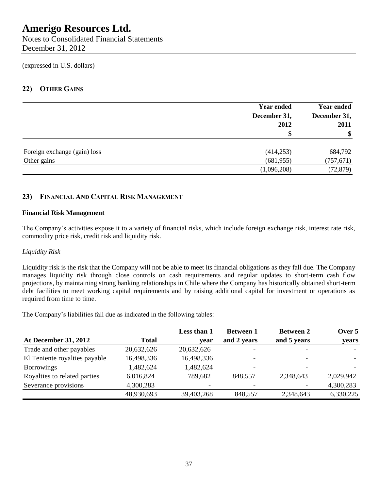Notes to Consolidated Financial Statements December 31, 2012

(expressed in U.S. dollars)

## **22) OTHER GAINS**

|                              | <b>Year ended</b><br>December 31,<br>2012 | <b>Year ended</b><br>December 31,<br>2011 |
|------------------------------|-------------------------------------------|-------------------------------------------|
|                              | S                                         | \$                                        |
| Foreign exchange (gain) loss | (414, 253)                                | 684,792                                   |
| Other gains                  | (681,955)                                 | (757, 671)                                |
|                              | (1,096,208)                               | (72, 879)                                 |

## **23) FINANCIAL AND CAPITAL RISK MANAGEMENT**

### **Financial Risk Management**

The Company's activities expose it to a variety of financial risks, which include foreign exchange risk, interest rate risk, commodity price risk, credit risk and liquidity risk.

## *Liquidity Risk*

Liquidity risk is the risk that the Company will not be able to meet its financial obligations as they fall due. The Company manages liquidity risk through close controls on cash requirements and regular updates to short-term cash flow projections, by maintaining strong banking relationships in Chile where the Company has historically obtained short-term debt facilities to meet working capital requirements and by raising additional capital for investment or operations as required from time to time.

The Company's liabilities fall due as indicated in the following tables:

|                               |              | Less than 1 | <b>Between 1</b>         | <b>Between 2</b> | Over 5    |
|-------------------------------|--------------|-------------|--------------------------|------------------|-----------|
| <b>At December 31, 2012</b>   | <b>Total</b> | vear        | and 2 years              | and 5 years      | years     |
| Trade and other payables      | 20,632,626   | 20,632,626  | $\overline{\phantom{a}}$ |                  |           |
| El Teniente royalties payable | 16,498,336   | 16,498,336  | $\qquad \qquad -$        |                  |           |
| <b>Borrowings</b>             | 1,482,624    | 1,482,624   | $\overline{\phantom{0}}$ | -                |           |
| Royalties to related parties  | 6,016,824    | 789,682     | 848,557                  | 2,348,643        | 2,029,942 |
| Severance provisions          | 4,300,283    | ۰           | $\overline{\phantom{a}}$ |                  | 4,300,283 |
|                               | 48,930,693   | 39,403,268  | 848,557                  | 2,348,643        | 6,330,225 |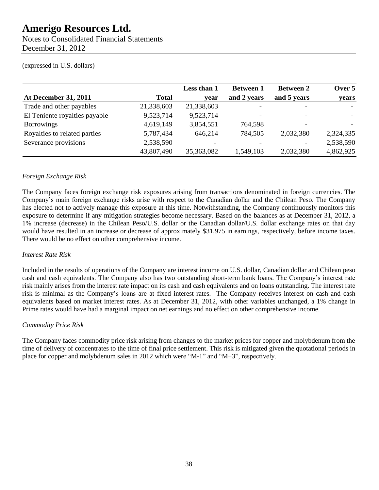Notes to Consolidated Financial Statements December 31, 2012

(expressed in U.S. dollars)

|                               |              | Less than 1 | <b>Between 1</b> | <b>Between 2</b> | Over 5    |
|-------------------------------|--------------|-------------|------------------|------------------|-----------|
| <b>At December 31, 2011</b>   | <b>Total</b> | vear        | and 2 years      | and 5 years      | years     |
| Trade and other payables      | 21,338,603   | 21,338,603  |                  |                  |           |
| El Teniente royalties payable | 9,523,714    | 9,523,714   |                  |                  |           |
| <b>Borrowings</b>             | 4,619,149    | 3,854,551   | 764,598          |                  |           |
| Royalties to related parties  | 5,787,434    | 646,214     | 784,505          | 2,032,380        | 2,324,335 |
| Severance provisions          | 2,538,590    |             |                  |                  | 2,538,590 |
|                               | 43,807,490   | 35,363,082  | 1,549,103        | 2,032,380        | 4,862,925 |

## *Foreign Exchange Risk*

The Company faces foreign exchange risk exposures arising from transactions denominated in foreign currencies. The Company's main foreign exchange risks arise with respect to the Canadian dollar and the Chilean Peso. The Company has elected not to actively manage this exposure at this time. Notwithstanding, the Company continuously monitors this exposure to determine if any mitigation strategies become necessary. Based on the balances as at December 31, 2012, a 1% increase (decrease) in the Chilean Peso/U.S. dollar or the Canadian dollar/U.S. dollar exchange rates on that day would have resulted in an increase or decrease of approximately \$31,975 in earnings, respectively, before income taxes. There would be no effect on other comprehensive income.

## *Interest Rate Risk*

Included in the results of operations of the Company are interest income on U.S. dollar, Canadian dollar and Chilean peso cash and cash equivalents. The Company also has two outstanding short-term bank loans. The Company's interest rate risk mainly arises from the interest rate impact on its cash and cash equivalents and on loans outstanding. The interest rate risk is minimal as the Company's loans are at fixed interest rates. The Company receives interest on cash and cash equivalents based on market interest rates. As at December 31, 2012, with other variables unchanged, a 1% change in Prime rates would have had a marginal impact on net earnings and no effect on other comprehensive income.

## *Commodity Price Risk*

The Company faces commodity price risk arising from changes to the market prices for copper and molybdenum from the time of delivery of concentrates to the time of final price settlement. This risk is mitigated given the quotational periods in place for copper and molybdenum sales in 2012 which were "M-1" and "M+3", respectively.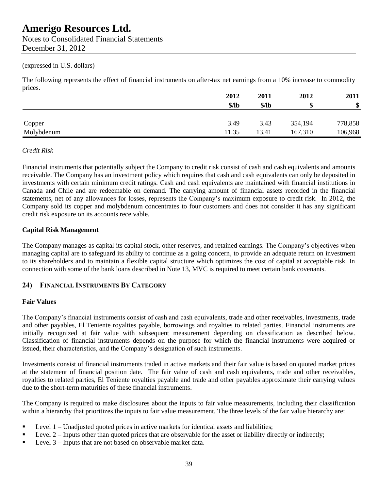Notes to Consolidated Financial Statements December 31, 2012

### (expressed in U.S. dollars)

The following represents the effect of financial instruments on after-tax net earnings from a 10% increase to commodity prices.

|            | 2012  | 2011  | 2012    | 2011<br>\$ |
|------------|-------|-------|---------|------------|
|            | \$/lb | \$/lb |         |            |
| Copper     | 3.49  | 3.43  | 354,194 | 778,858    |
| Molybdenum | 11.35 | 13.41 | 167,310 | 106,968    |

### *Credit Risk*

Financial instruments that potentially subject the Company to credit risk consist of cash and cash equivalents and amounts receivable. The Company has an investment policy which requires that cash and cash equivalents can only be deposited in investments with certain minimum credit ratings. Cash and cash equivalents are maintained with financial institutions in Canada and Chile and are redeemable on demand. The carrying amount of financial assets recorded in the financial statements, net of any allowances for losses, represents the Company's maximum exposure to credit risk. In 2012, the Company sold its copper and molybdenum concentrates to four customers and does not consider it has any significant credit risk exposure on its accounts receivable.

### **Capital Risk Management**

The Company manages as capital its capital stock, other reserves, and retained earnings. The Company's objectives when managing capital are to safeguard its ability to continue as a going concern, to provide an adequate return on investment to its shareholders and to maintain a flexible capital structure which optimizes the cost of capital at acceptable risk. In connection with some of the bank loans described in Note 13, MVC is required to meet certain bank covenants.

## **24) FINANCIAL INSTRUMENTS BY CATEGORY**

### **Fair Values**

The Company's financial instruments consist of cash and cash equivalents, trade and other receivables, investments, trade and other payables, El Teniente royalties payable, borrowings and royalties to related parties. Financial instruments are initially recognized at fair value with subsequent measurement depending on classification as described below. Classification of financial instruments depends on the purpose for which the financial instruments were acquired or issued, their characteristics, and the Company's designation of such instruments.

Investments consist of financial instruments traded in active markets and their fair value is based on quoted market prices at the statement of financial position date. The fair value of cash and cash equivalents, trade and other receivables, royalties to related parties, El Teniente royalties payable and trade and other payables approximate their carrying values due to the short-term maturities of these financial instruments.

The Company is required to make disclosures about the inputs to fair value measurements, including their classification within a hierarchy that prioritizes the inputs to fair value measurement. The three levels of the fair value hierarchy are:

- Level 1 Unadjusted quoted prices in active markets for identical assets and liabilities;
- Level 2 Inputs other than quoted prices that are observable for the asset or liability directly or indirectly;
- $\blacksquare$  Level 3 Inputs that are not based on observable market data.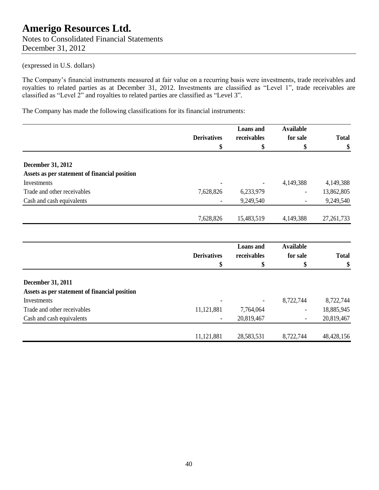#### (expressed in U.S. dollars)

The Company's financial instruments measured at fair value on a recurring basis were investments, trade receivables and royalties to related parties as at December 31, 2012. Investments are classified as "Level 1", trade receivables are classified as "Level 2" and royalties to related parties are classified as "Level 3".

The Company has made the following classifications for its financial instruments:

|                                               |                    | <b>Loans</b> and | <b>Available</b>         |              |
|-----------------------------------------------|--------------------|------------------|--------------------------|--------------|
|                                               | <b>Derivatives</b> | receivables      | for sale                 | <b>Total</b> |
|                                               | \$                 | \$               | \$                       | \$           |
| December 31, 2012                             |                    |                  |                          |              |
| Assets as per statement of financial position |                    |                  |                          |              |
| Investments                                   |                    |                  | 4,149,388                | 4,149,388    |
| Trade and other receivables                   | 7,628,826          | 6,233,979        |                          | 13,862,805   |
| Cash and cash equivalents                     |                    | 9,249,540        |                          | 9,249,540    |
|                                               | 7,628,826          | 15,483,519       | 4,149,388                | 27, 261, 733 |
|                                               |                    | <b>Loans</b> and | <b>Available</b>         |              |
|                                               | <b>Derivatives</b> | receivables      | for sale                 | <b>Total</b> |
|                                               | \$                 | \$               | \$                       | \$           |
| December 31, 2011                             |                    |                  |                          |              |
| Assets as per statement of financial position |                    |                  |                          |              |
| Investments                                   |                    |                  | 8,722,744                | 8,722,744    |
| Trade and other receivables                   | 11,121,881         | 7,764,064        |                          | 18,885,945   |
| Cash and cash equivalents                     |                    | 20,819,467       | $\overline{\phantom{a}}$ | 20,819,467   |
|                                               | 11,121,881         | 28,583,531       | 8,722,744                | 48,428,156   |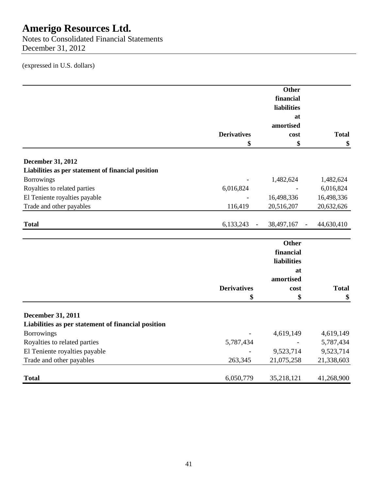Notes to Consolidated Financial Statements December 31, 2012

(expressed in U.S. dollars)

|                                                    |                    | Other<br>financial<br>liabilities<br>at |              |
|----------------------------------------------------|--------------------|-----------------------------------------|--------------|
|                                                    |                    | amortised                               |              |
|                                                    | <b>Derivatives</b> | cost                                    | <b>Total</b> |
|                                                    | \$                 | \$                                      | \$           |
| <b>December 31, 2012</b>                           |                    |                                         |              |
| Liabilities as per statement of financial position |                    |                                         |              |
| <b>Borrowings</b>                                  |                    | 1,482,624                               | 1,482,624    |
| Royalties to related parties                       | 6,016,824          |                                         | 6,016,824    |
| El Teniente royalties payable                      |                    | 16,498,336                              | 16,498,336   |
| Trade and other payables                           | 116,419            | 20,516,207                              | 20,632,626   |
| <b>Total</b>                                       | 6,133,243          | 38,497,167                              | 44,630,410   |
|                                                    |                    | <b>Other</b>                            |              |
|                                                    |                    | financial                               |              |
|                                                    |                    | liabilities                             |              |
|                                                    |                    | at                                      |              |
|                                                    |                    | amortised                               |              |
|                                                    | <b>Derivatives</b> | cost                                    | <b>Total</b> |
|                                                    | \$                 | \$                                      | \$           |
| <b>December 31, 2011</b>                           |                    |                                         |              |
| Liabilities as per statement of financial position |                    |                                         |              |
| <b>Borrowings</b>                                  |                    | 4,619,149                               | 4,619,149    |
| Royalties to related parties                       | 5,787,434          |                                         | 5,787,434    |
| El Teniente royalties payable                      |                    | 9,523,714                               | 9,523,714    |
| Trade and other payables                           | 263,345            | 21,075,258                              | 21,338,603   |
| <b>Total</b>                                       | 6,050,779          | 35,218,121                              | 41,268,900   |